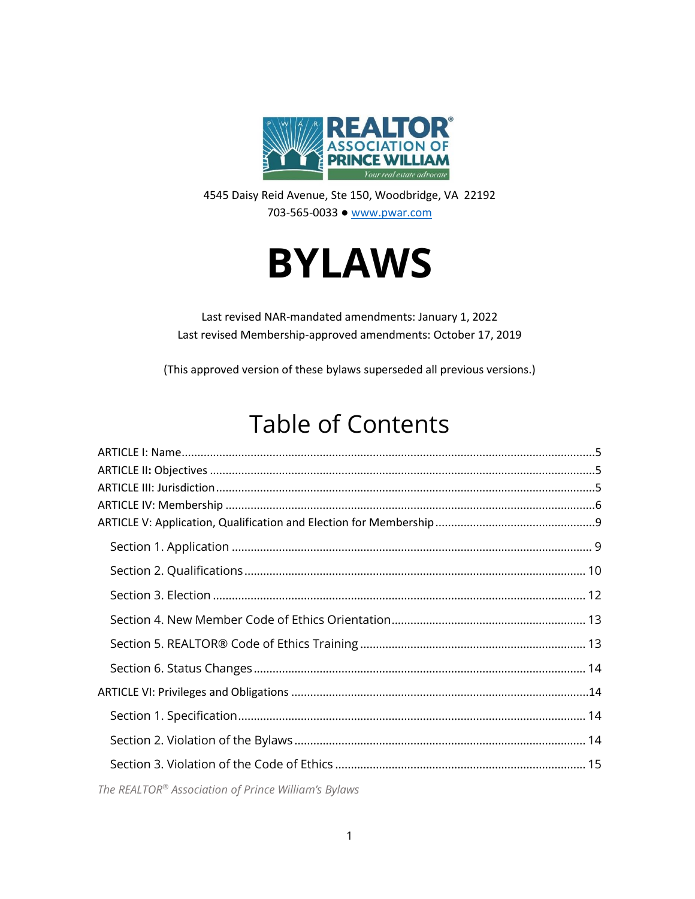

4545 Daisy Reid Avenue, Ste 150, Woodbridge, VA 22192 703-565-0033 ● [www.pwar.com](http://www.pwar.com/)



Last revised NAR-mandated amendments: January 1, 2022 Last revised Membership-approved amendments: October 17, 2019

(This approved version of these bylaws superseded all previous versions.)

# Table of Contents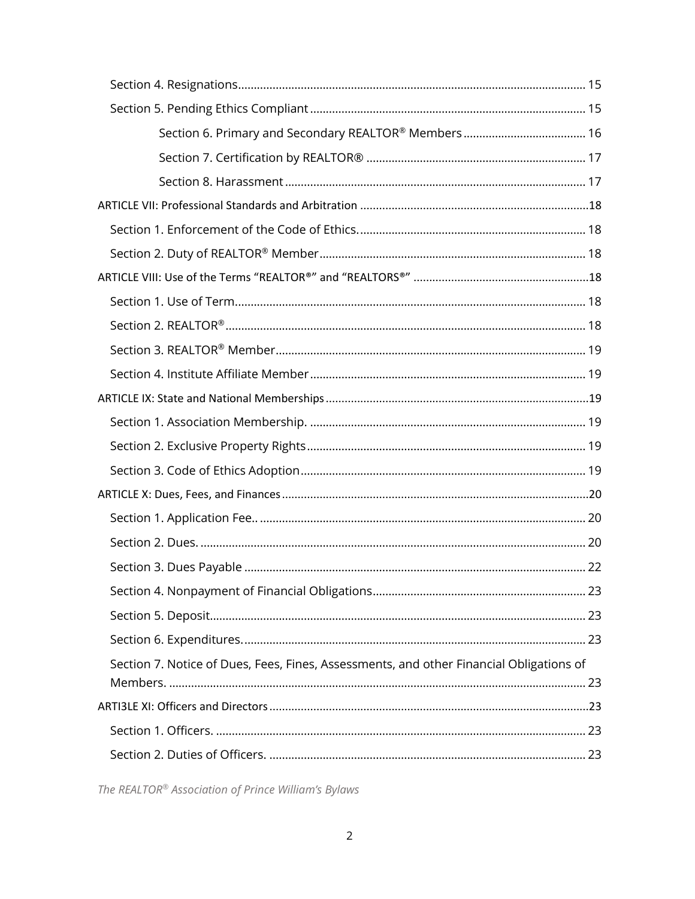| Section 7. Notice of Dues, Fees, Fines, Assessments, and other Financial Obligations of |  |
|-----------------------------------------------------------------------------------------|--|
|                                                                                         |  |
|                                                                                         |  |
|                                                                                         |  |
|                                                                                         |  |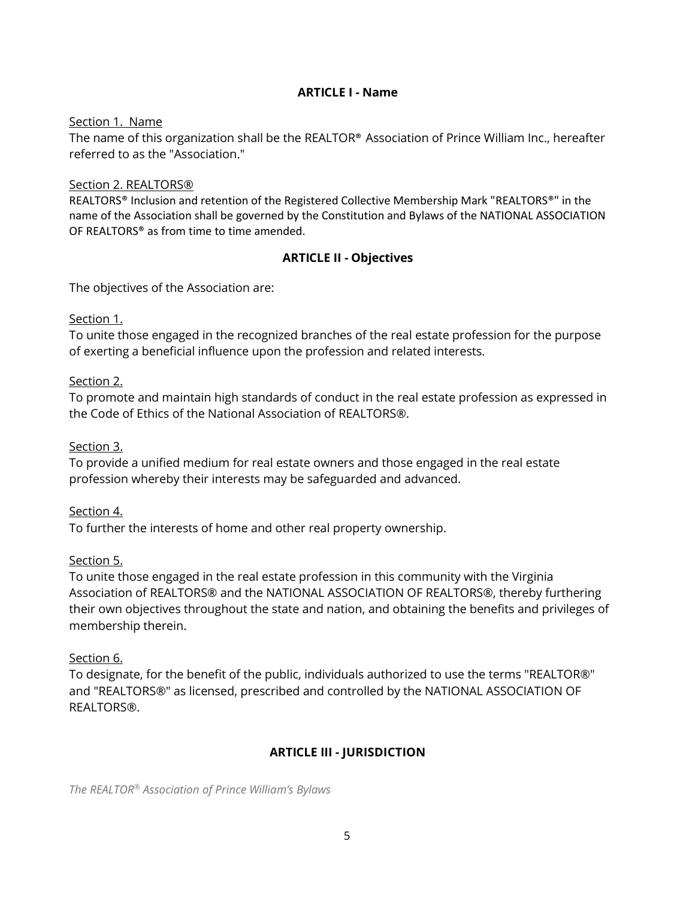#### **ARTICLE I - Name**

#### Section 1. Name

The name of this organization shall be the REALTOR® Association of Prince William Inc., hereafter referred to as the "Association."

#### Section 2. REALTORS®

REALTORS® Inclusion and retention of the Registered Collective Membership Mark "REALTORS®" in the name of the Association shall be governed by the Constitution and Bylaws of the NATIONAL ASSOCIATION OF REALTORS® as from time to time amended.

#### **ARTICLE II - Objectives**

The objectives of the Association are:

#### Section 1.

To unite those engaged in the recognized branches of the real estate profession for the purpose of exerting a beneficial influence upon the profession and related interests.

#### Section 2.

To promote and maintain high standards of conduct in the real estate profession as expressed in the Code of Ethics of the National Association of REALTORS®.

#### Section 3.

To provide a unified medium for real estate owners and those engaged in the real estate profession whereby their interests may be safeguarded and advanced.

#### Section 4.

To further the interests of home and other real property ownership.

#### Section 5.

To unite those engaged in the real estate profession in this community with the Virginia Association of REALTORS® and the NATIONAL ASSOCIATION OF REALTORS®, thereby furthering their own objectives throughout the state and nation, and obtaining the benefits and privileges of membership therein.

#### Section 6.

To designate, for the benefit of the public, individuals authorized to use the terms "REALTOR®" and "REALTORS®" as licensed, prescribed and controlled by the NATIONAL ASSOCIATION OF REALTORS®.

## **ARTICLE III - JURISDICTION**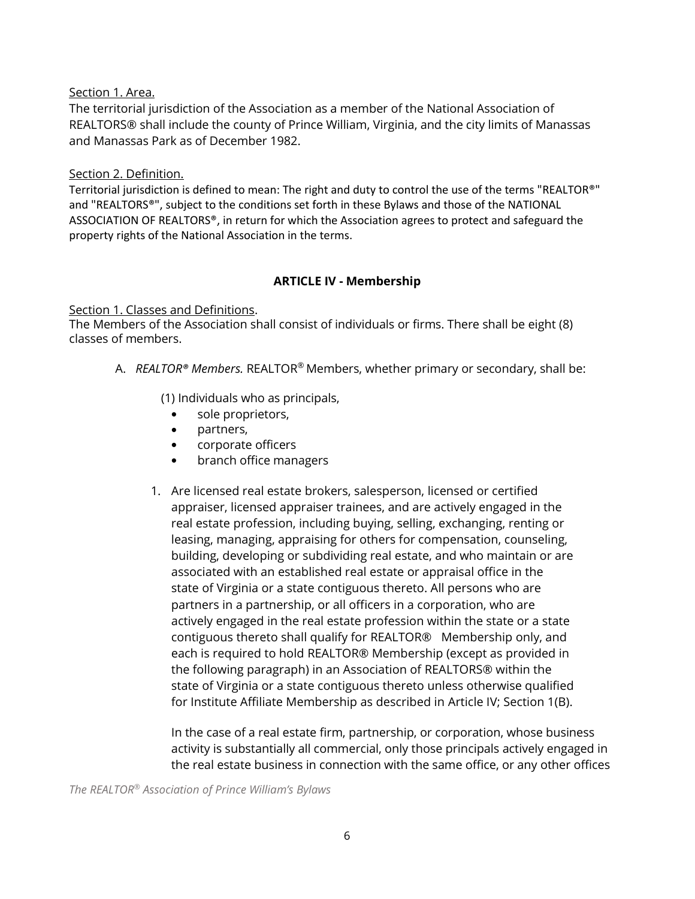#### Section 1. Area.

The territorial jurisdiction of the Association as a member of the National Association of REALTORS® shall include the county of Prince William, Virginia, and the city limits of Manassas and Manassas Park as of December 1982.

#### Section 2. Definition.

Territorial jurisdiction is defined to mean: The right and duty to control the use of the terms "REALTOR®" and "REALTORS®", subject to the conditions set forth in these Bylaws and those of the NATIONAL ASSOCIATION OF REALTORS®, in return for which the Association agrees to protect and safeguard the property rights of the National Association in the terms.

#### **ARTICLE IV - Membership**

#### Section 1. Classes and Definitions.

The Members of the Association shall consist of individuals or firms. There shall be eight (8) classes of members.

A. *REALTOR® Members.* REALTOR® Members, whether primary or secondary, shall be:

(1) Individuals who as principals,

- sole proprietors,
- partners,
- corporate officers
- branch office managers
- 1. Are licensed real estate brokers, salesperson, licensed or certified appraiser, licensed appraiser trainees, and are actively engaged in the real estate profession, including buying, selling, exchanging, renting or leasing, managing, appraising for others for compensation, counseling, building, developing or subdividing real estate, and who maintain or are associated with an established real estate or appraisal office in the state of Virginia or a state contiguous thereto. All persons who are partners in a partnership, or all officers in a corporation, who are actively engaged in the real estate profession within the state or a state contiguous thereto shall qualify for REALTOR® Membership only, and each is required to hold REALTOR® Membership (except as provided in the following paragraph) in an Association of REALTORS® within the state of Virginia or a state contiguous thereto unless otherwise qualified for Institute Affiliate Membership as described in Article IV; Section 1(B).

In the case of a real estate firm, partnership, or corporation, whose business activity is substantially all commercial, only those principals actively engaged in the real estate business in connection with the same office, or any other offices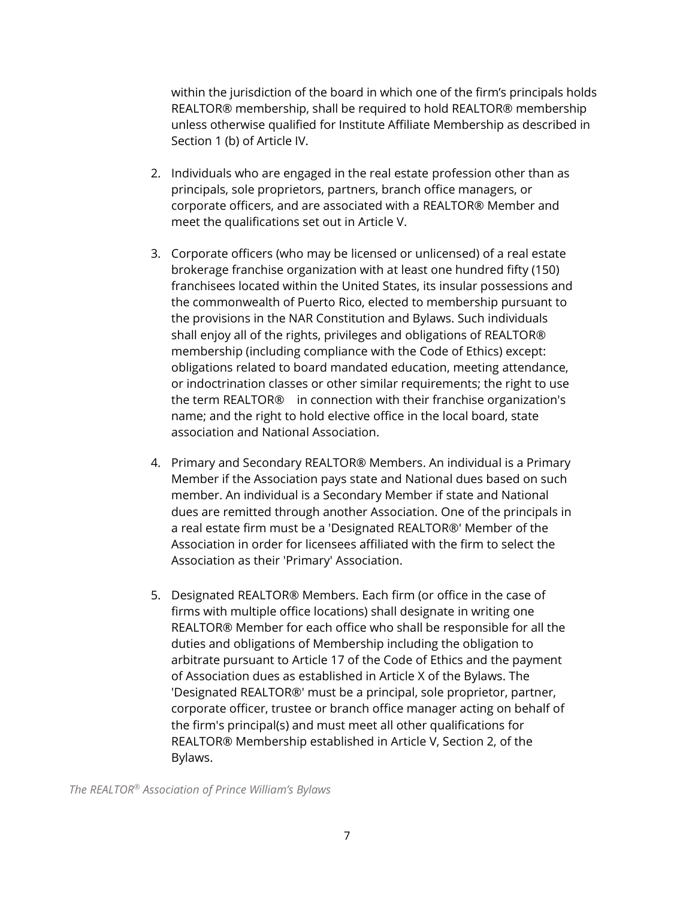within the jurisdiction of the board in which one of the firm's principals holds REALTOR® membership, shall be required to hold REALTOR® membership unless otherwise qualified for Institute Affiliate Membership as described in Section 1 (b) of Article IV.

- 2. Individuals who are engaged in the real estate profession other than as principals, sole proprietors, partners, branch office managers, or corporate officers, and are associated with a REALTOR® Member and meet the qualifications set out in Article V.
- 3. Corporate officers (who may be licensed or unlicensed) of a real estate brokerage franchise organization with at least one hundred fifty (150) franchisees located within the United States, its insular possessions and the commonwealth of Puerto Rico, elected to membership pursuant to the provisions in the NAR Constitution and Bylaws. Such individuals shall enjoy all of the rights, privileges and obligations of REALTOR® membership (including compliance with the Code of Ethics) except: obligations related to board mandated education, meeting attendance, or indoctrination classes or other similar requirements; the right to use the term REALTOR® in connection with their franchise organization's name; and the right to hold elective office in the local board, state association and National Association.
- 4. Primary and Secondary REALTOR® Members. An individual is a Primary Member if the Association pays state and National dues based on such member. An individual is a Secondary Member if state and National dues are remitted through another Association. One of the principals in a real estate firm must be a 'Designated REALTOR®' Member of the Association in order for licensees affiliated with the firm to select the Association as their 'Primary' Association.
- 5. Designated REALTOR® Members. Each firm (or office in the case of firms with multiple office locations) shall designate in writing one REALTOR® Member for each office who shall be responsible for all the duties and obligations of Membership including the obligation to arbitrate pursuant to Article 17 of the Code of Ethics and the payment of Association dues as established in Article X of the Bylaws. The 'Designated REALTOR®' must be a principal, sole proprietor, partner, corporate officer, trustee or branch office manager acting on behalf of the firm's principal(s) and must meet all other qualifications for REALTOR® Membership established in Article V, Section 2, of the Bylaws.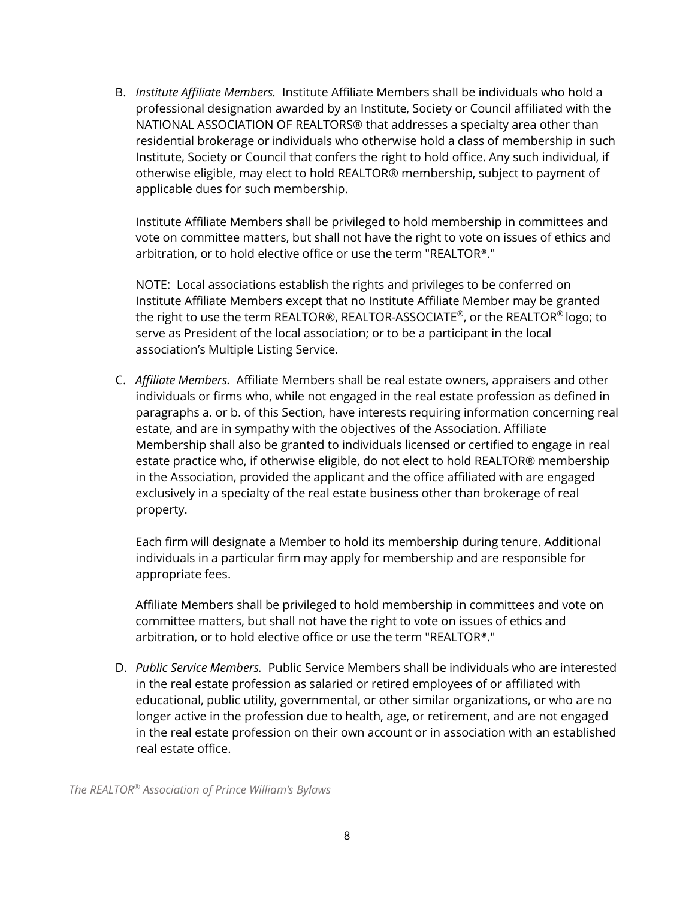B. *Institute Affiliate Members.* Institute Affiliate Members shall be individuals who hold a professional designation awarded by an Institute, Society or Council affiliated with the NATIONAL ASSOCIATION OF REALTORS® that addresses a specialty area other than residential brokerage or individuals who otherwise hold a class of membership in such Institute, Society or Council that confers the right to hold office. Any such individual, if otherwise eligible, may elect to hold REALTOR® membership, subject to payment of applicable dues for such membership.

Institute Affiliate Members shall be privileged to hold membership in committees and vote on committee matters, but shall not have the right to vote on issues of ethics and arbitration, or to hold elective office or use the term "REALTOR®."

NOTE: Local associations establish the rights and privileges to be conferred on Institute Affiliate Members except that no Institute Affiliate Member may be granted the right to use the term REALTOR®, REALTOR-ASSOCIATE ®, or the REALTOR ® logo; to serve as President of the local association; or to be a participant in the local association's Multiple Listing Service.

C. *Affiliate Members.* Affiliate Members shall be real estate owners, appraisers and other individuals or firms who, while not engaged in the real estate profession as defined in paragraphs a. or b. of this Section, have interests requiring information concerning real estate, and are in sympathy with the objectives of the Association. Affiliate Membership shall also be granted to individuals licensed or certified to engage in real estate practice who, if otherwise eligible, do not elect to hold REALTOR® membership in the Association, provided the applicant and the office affiliated with are engaged exclusively in a specialty of the real estate business other than brokerage of real property.

Each firm will designate a Member to hold its membership during tenure. Additional individuals in a particular firm may apply for membership and are responsible for appropriate fees.

Affiliate Members shall be privileged to hold membership in committees and vote on committee matters, but shall not have the right to vote on issues of ethics and arbitration, or to hold elective office or use the term "REALTOR®."

D. *Public Service Members.* Public Service Members shall be individuals who are interested in the real estate profession as salaried or retired employees of or affiliated with educational, public utility, governmental, or other similar organizations, or who are no longer active in the profession due to health, age, or retirement, and are not engaged in the real estate profession on their own account or in association with an established real estate office.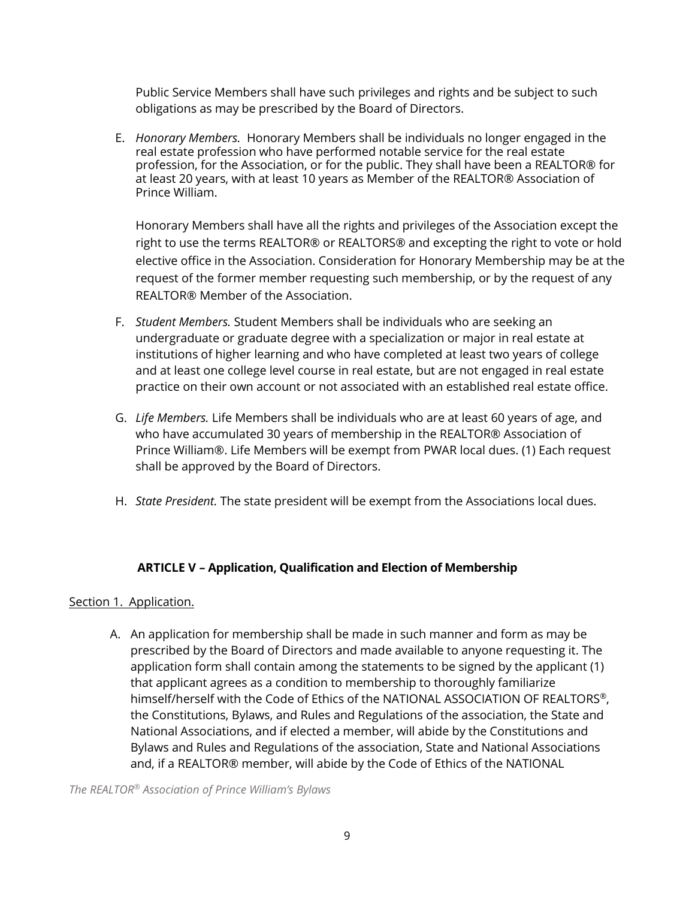Public Service Members shall have such privileges and rights and be subject to such obligations as may be prescribed by the Board of Directors.

E. *Honorary Members.* Honorary Members shall be individuals no longer engaged in the real estate profession who have performed notable service for the real estate profession, for the Association, or for the public. They shall have been a REALTOR® for at least 20 years, with at least 10 years as Member of the REALTOR® Association of Prince William.

Honorary Members shall have all the rights and privileges of the Association except the right to use the terms REALTOR® or REALTORS® and excepting the right to vote or hold elective office in the Association. Consideration for Honorary Membership may be at the request of the former member requesting such membership, or by the request of any REALTOR® Member of the Association.

- F. *Student Members.* Student Members shall be individuals who are seeking an undergraduate or graduate degree with a specialization or major in real estate at institutions of higher learning and who have completed at least two years of college and at least one college level course in real estate, but are not engaged in real estate practice on their own account or not associated with an established real estate office.
- G. *Life Members.* Life Members shall be individuals who are at least 60 years of age, and who have accumulated 30 years of membership in the REALTOR® Association of Prince William®. Life Members will be exempt from PWAR local dues. (1) Each request shall be approved by the Board of Directors.
- H. *State President.* The state president will be exempt from the Associations local dues.

#### **ARTICLE V – Application, Qualification and Election of Membership**

#### Section 1. Application.

A. An application for membership shall be made in such manner and form as may be prescribed by the Board of Directors and made available to anyone requesting it. The application form shall contain among the statements to be signed by the applicant (1) that applicant agrees as a condition to membership to thoroughly familiarize himself/herself with the Code of Ethics of the NATIONAL ASSOCIATION OF REALTORS®, the Constitutions, Bylaws, and Rules and Regulations of the association, the State and National Associations, and if elected a member, will abide by the Constitutions and Bylaws and Rules and Regulations of the association, State and National Associations and, if a REALTOR® member, will abide by the Code of Ethics of the NATIONAL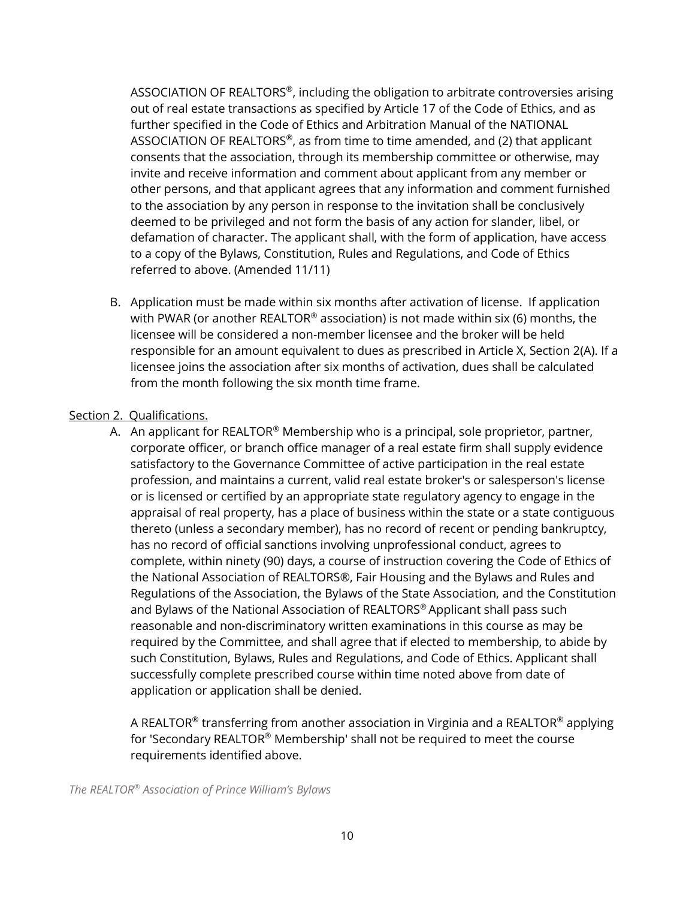ASSOCIATION OF REALTORS®, including the obligation to arbitrate controversies arising out of real estate transactions as specified by Article 17 of the Code of Ethics, and as further specified in the Code of Ethics and Arbitration Manual of the NATIONAL ASSOCIATION OF REALTORS®, as from time to time amended, and (2) that applicant consents that the association, through its membership committee or otherwise, may invite and receive information and comment about applicant from any member or other persons, and that applicant agrees that any information and comment furnished to the association by any person in response to the invitation shall be conclusively deemed to be privileged and not form the basis of any action for slander, libel, or defamation of character. The applicant shall, with the form of application, have access to a copy of the Bylaws, Constitution, Rules and Regulations, and Code of Ethics referred to above. (Amended 11/11)

B. Application must be made within six months after activation of license. If application with PWAR (or another REALTOR<sup>®</sup> association) is not made within six (6) months, the licensee will be considered a non-member licensee and the broker will be held responsible for an amount equivalent to dues as prescribed in Article X, Section 2(A). If a licensee joins the association after six months of activation, dues shall be calculated from the month following the six month time frame.

#### Section 2. Qualifications.

A. An applicant for REALTOR<sup>®</sup> Membership who is a principal, sole proprietor, partner, corporate officer, or branch office manager of a real estate firm shall supply evidence satisfactory to the Governance Committee of active participation in the real estate profession, and maintains a current, valid real estate broker's or salesperson's license or is licensed or certified by an appropriate state regulatory agency to engage in the appraisal of real property, has a place of business within the state or a state contiguous thereto (unless a secondary member), has no record of recent or pending bankruptcy, has no record of official sanctions involving unprofessional conduct, agrees to complete, within ninety (90) days, a course of instruction covering the Code of Ethics of the National Association of REALTORS®, Fair Housing and the Bylaws and Rules and Regulations of the Association, the Bylaws of the State Association, and the Constitution and Bylaws of the National Association of REALTORS ® Applicant shall pass such reasonable and non-discriminatory written examinations in this course as may be required by the Committee, and shall agree that if elected to membership, to abide by such Constitution, Bylaws, Rules and Regulations, and Code of Ethics. Applicant shall successfully complete prescribed course within time noted above from date of application or application shall be denied.

A REALTOR® transferring from another association in Virginia and a REALTOR® applying for 'Secondary REALTOR® Membership' shall not be required to meet the course requirements identified above.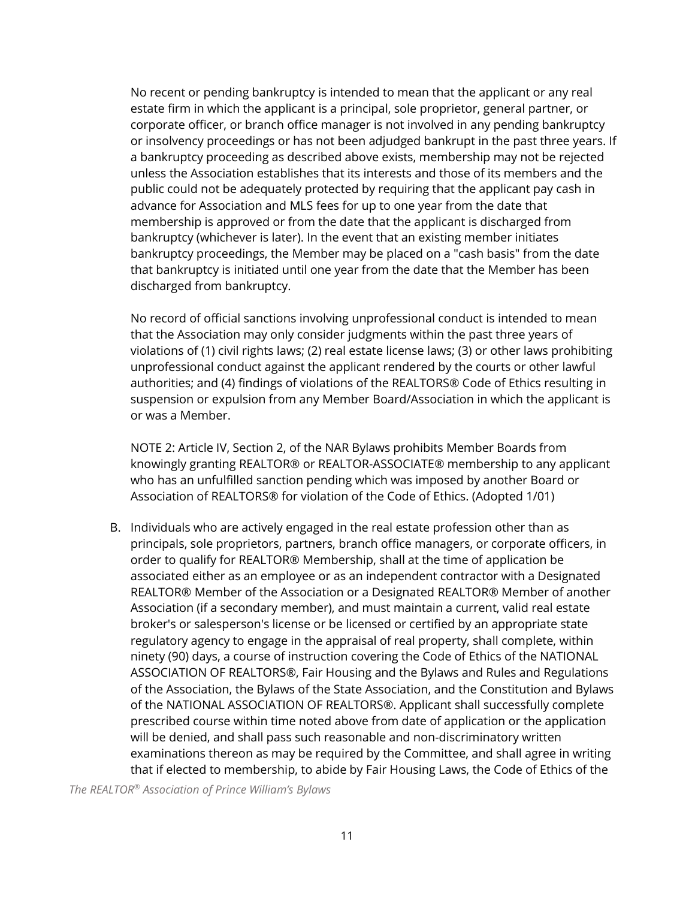No recent or pending bankruptcy is intended to mean that the applicant or any real estate firm in which the applicant is a principal, sole proprietor, general partner, or corporate officer, or branch office manager is not involved in any pending bankruptcy or insolvency proceedings or has not been adjudged bankrupt in the past three years. If a bankruptcy proceeding as described above exists, membership may not be rejected unless the Association establishes that its interests and those of its members and the public could not be adequately protected by requiring that the applicant pay cash in advance for Association and MLS fees for up to one year from the date that membership is approved or from the date that the applicant is discharged from bankruptcy (whichever is later). In the event that an existing member initiates bankruptcy proceedings, the Member may be placed on a "cash basis" from the date that bankruptcy is initiated until one year from the date that the Member has been discharged from bankruptcy.

No record of official sanctions involving unprofessional conduct is intended to mean that the Association may only consider judgments within the past three years of violations of (1) civil rights laws; (2) real estate license laws; (3) or other laws prohibiting unprofessional conduct against the applicant rendered by the courts or other lawful authorities; and (4) findings of violations of the REALTORS® Code of Ethics resulting in suspension or expulsion from any Member Board/Association in which the applicant is or was a Member.

NOTE 2: Article IV, Section 2, of the NAR Bylaws prohibits Member Boards from knowingly granting REALTOR® or REALTOR-ASSOCIATE® membership to any applicant who has an unfulfilled sanction pending which was imposed by another Board or Association of REALTORS® for violation of the Code of Ethics. (Adopted 1/01)

B. Individuals who are actively engaged in the real estate profession other than as principals, sole proprietors, partners, branch office managers, or corporate officers, in order to qualify for REALTOR® Membership, shall at the time of application be associated either as an employee or as an independent contractor with a Designated REALTOR® Member of the Association or a Designated REALTOR® Member of another Association (if a secondary member), and must maintain a current, valid real estate broker's or salesperson's license or be licensed or certified by an appropriate state regulatory agency to engage in the appraisal of real property, shall complete, within ninety (90) days, a course of instruction covering the Code of Ethics of the NATIONAL ASSOCIATION OF REALTORS®, Fair Housing and the Bylaws and Rules and Regulations of the Association, the Bylaws of the State Association, and the Constitution and Bylaws of the NATIONAL ASSOCIATION OF REALTORS®. Applicant shall successfully complete prescribed course within time noted above from date of application or the application will be denied, and shall pass such reasonable and non-discriminatory written examinations thereon as may be required by the Committee, and shall agree in writing that if elected to membership, to abide by Fair Housing Laws, the Code of Ethics of the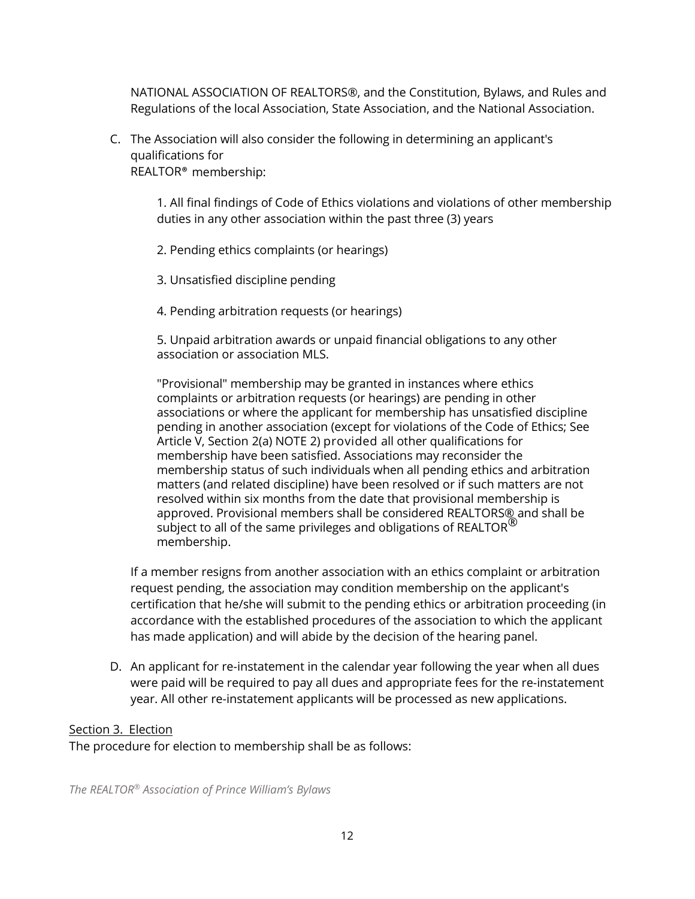NATIONAL ASSOCIATION OF REALTORS®, and the Constitution, Bylaws, and Rules and Regulations of the local Association, State Association, and the National Association.

C. The Association will also consider the following in determining an applicant's qualifications for

REALTOR® membership:

1. All final findings of Code of Ethics violations and violations of other membership duties in any other association within the past three (3) years

2. Pending ethics complaints (or hearings)

3. Unsatisfied discipline pending

4. Pending arbitration requests (or hearings)

5. Unpaid arbitration awards or unpaid financial obligations to any other association or association MLS.

"Provisional" membership may be granted in instances where ethics complaints or arbitration requests (or hearings) are pending in other associations or where the applicant for membership has unsatisfied discipline pending in another association (except for violations of the Code of Ethics; See Article V, Section 2(a) NOTE 2) provided all other qualifications for membership have been satisfied. Associations may reconsider the membership status of such individuals when all pending ethics and arbitration matters (and related discipline) have been resolved or if such matters are not resolved within six months from the date that provisional membership is approved. Provisional members shall be considered REALTORS® and shall be subject to all of the same privileges and obligations of REALTOR<sup>®</sup> membership.

If a member resigns from another association with an ethics complaint or arbitration request pending, the association may condition membership on the applicant's certification that he/she will submit to the pending ethics or arbitration proceeding (in accordance with the established procedures of the association to which the applicant has made application) and will abide by the decision of the hearing panel.

D. An applicant for re-instatement in the calendar year following the year when all dues were paid will be required to pay all dues and appropriate fees for the re-instatement year. All other re-instatement applicants will be processed as new applications.

#### Section 3. Election

The procedure for election to membership shall be as follows: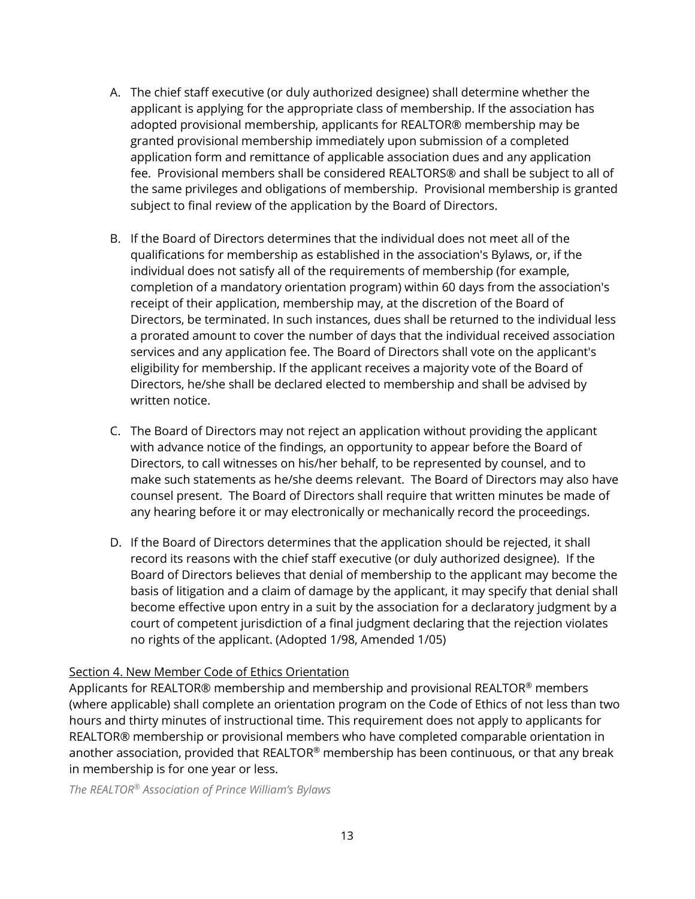- A. The chief staff executive (or duly authorized designee) shall determine whether the applicant is applying for the appropriate class of membership. If the association has adopted provisional membership, applicants for REALTOR® membership may be granted provisional membership immediately upon submission of a completed application form and remittance of applicable association dues and any application fee. Provisional members shall be considered REALTORS® and shall be subject to all of the same privileges and obligations of membership. Provisional membership is granted subject to final review of the application by the Board of Directors.
- B. If the Board of Directors determines that the individual does not meet all of the qualifications for membership as established in the association's Bylaws, or, if the individual does not satisfy all of the requirements of membership (for example, completion of a mandatory orientation program) within 60 days from the association's receipt of their application, membership may, at the discretion of the Board of Directors, be terminated. In such instances, dues shall be returned to the individual less a prorated amount to cover the number of days that the individual received association services and any application fee. The Board of Directors shall vote on the applicant's eligibility for membership. If the applicant receives a majority vote of the Board of Directors, he/she shall be declared elected to membership and shall be advised by written notice.
- C. The Board of Directors may not reject an application without providing the applicant with advance notice of the findings, an opportunity to appear before the Board of Directors, to call witnesses on his/her behalf, to be represented by counsel, and to make such statements as he/she deems relevant. The Board of Directors may also have counsel present. The Board of Directors shall require that written minutes be made of any hearing before it or may electronically or mechanically record the proceedings.
- D. If the Board of Directors determines that the application should be rejected, it shall record its reasons with the chief staff executive (or duly authorized designee). If the Board of Directors believes that denial of membership to the applicant may become the basis of litigation and a claim of damage by the applicant, it may specify that denial shall become effective upon entry in a suit by the association for a declaratory judgment by a court of competent jurisdiction of a final judgment declaring that the rejection violates no rights of the applicant. (Adopted 1/98, Amended 1/05)

#### Section 4. New Member Code of Ethics Orientation

Applicants for REALTOR® membership and membership and provisional REALTOR® members (where applicable) shall complete an orientation program on the Code of Ethics of not less than two hours and thirty minutes of instructional time. This requirement does not apply to applicants for REALTOR® membership or provisional members who have completed comparable orientation in another association, provided that REALTOR® membership has been continuous, or that any break in membership is for one year or less.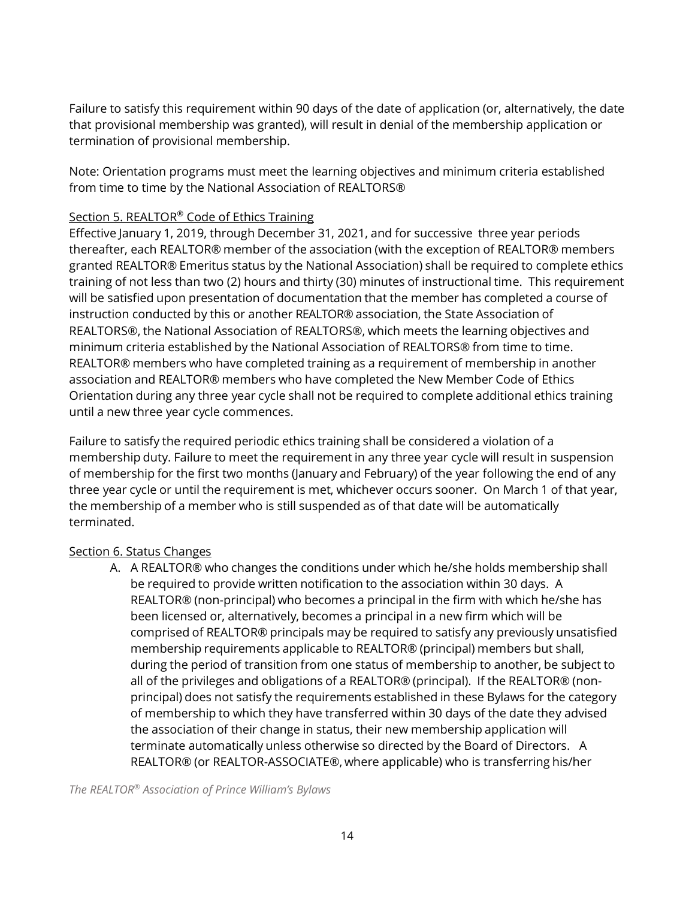Failure to satisfy this requirement within 90 days of the date of application (or, alternatively, the date that provisional membership was granted), will result in denial of the membership application or termination of provisional membership.

Note: Orientation programs must meet the learning objectives and minimum criteria established from time to time by the National Association of REALTORS®

## Section 5. REALTOR<sup>®</sup> Code of Ethics Training

Effective January 1, 2019, through December 31, 2021, and for successive three year periods thereafter, each REALTOR® member of the association (with the exception of REALTOR® members granted REALTOR® Emeritus status by the National Association) shall be required to complete ethics training of not less than two (2) hours and thirty (30) minutes of instructional time. This requirement will be satisfied upon presentation of documentation that the member has completed a course of instruction conducted by this or another REALTOR® association, the State Association of REALTORS®, the National Association of REALTORS®, which meets the learning objectives and minimum criteria established by the National Association of REALTORS® from time to time. REALTOR® members who have completed training as a requirement of membership in another association and REALTOR® members who have completed the New Member Code of Ethics Orientation during any three year cycle shall not be required to complete additional ethics training until a new three year cycle commences.

Failure to satisfy the required periodic ethics training shall be considered a violation of a membership duty. Failure to meet the requirement in any three year cycle will result in suspension of membership for the first two months (January and February) of the year following the end of any three year cycle or until the requirement is met, whichever occurs sooner. On March 1 of that year, the membership of a member who is still suspended as of that date will be automatically terminated.

## Section 6. Status Changes

A. A REALTOR® who changes the conditions under which he/she holds membership shall be required to provide written notification to the association within 30 days. A REALTOR® (non-principal) who becomes a principal in the firm with which he/she has been licensed or, alternatively, becomes a principal in a new firm which will be comprised of REALTOR® principals may be required to satisfy any previously unsatisfied membership requirements applicable to REALTOR® (principal) members but shall, during the period of transition from one status of membership to another, be subject to all of the privileges and obligations of a REALTOR® (principal). If the REALTOR® (nonprincipal) does not satisfy the requirements established in these Bylaws for the category of membership to which they have transferred within 30 days of the date they advised the association of their change in status, their new membership application will terminate automatically unless otherwise so directed by the Board of Directors. A REALTOR® (or REALTOR-ASSOCIATE®, where applicable) who is transferring his/her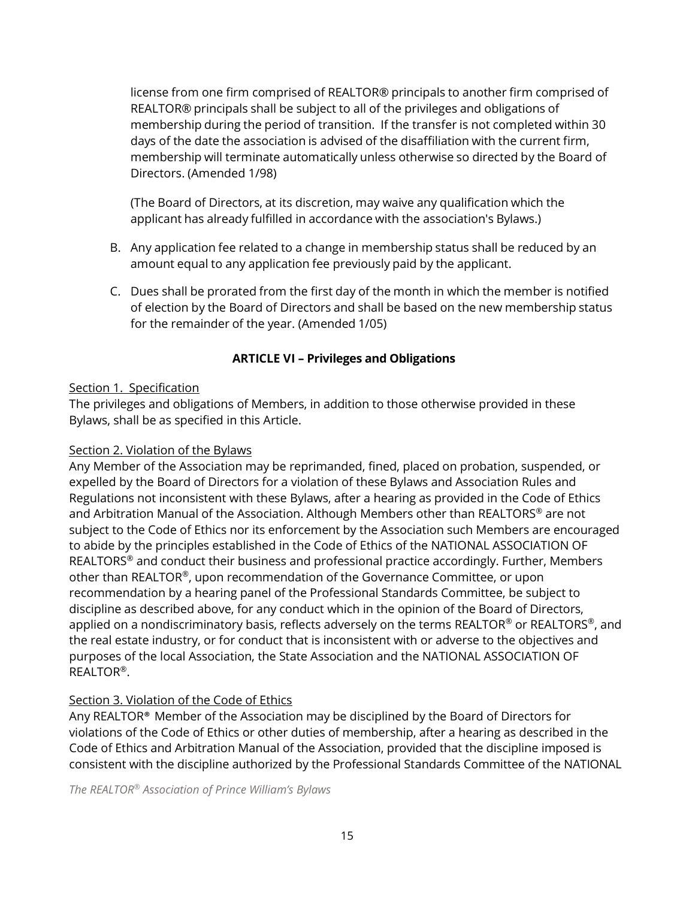license from one firm comprised of REALTOR® principals to another firm comprised of REALTOR® principals shall be subject to all of the privileges and obligations of membership during the period of transition. If the transfer is not completed within 30 days of the date the association is advised of the disaffiliation with the current firm, membership will terminate automatically unless otherwise so directed by the Board of Directors. (Amended 1/98)

(The Board of Directors, at its discretion, may waive any qualification which the applicant has already fulfilled in accordance with the association's Bylaws.)

- B. Any application fee related to a change in membership status shall be reduced by an amount equal to any application fee previously paid by the applicant.
- C. Dues shall be prorated from the first day of the month in which the member is notified of election by the Board of Directors and shall be based on the new membership status for the remainder of the year. (Amended 1/05)

# **ARTICLE VI – Privileges and Obligations**

## Section 1. Specification

The privileges and obligations of Members, in addition to those otherwise provided in these Bylaws, shall be as specified in this Article.

#### Section 2. Violation of the Bylaws

Any Member of the Association may be reprimanded, fined, placed on probation, suspended, or expelled by the Board of Directors for a violation of these Bylaws and Association Rules and Regulations not inconsistent with these Bylaws, after a hearing as provided in the Code of Ethics and Arbitration Manual of the Association. Although Members other than REALTORS ® are not subject to the Code of Ethics nor its enforcement by the Association such Members are encouraged to abide by the principles established in the Code of Ethics of the NATIONAL ASSOCIATION OF REALTORS<sup>®</sup> and conduct their business and professional practice accordingly. Further, Members other than REALTOR®, upon recommendation of the Governance Committee, or upon recommendation by a hearing panel of the Professional Standards Committee, be subject to discipline as described above, for any conduct which in the opinion of the Board of Directors, applied on a nondiscriminatory basis, reflects adversely on the terms REALTOR® or REALTORS®, and the real estate industry, or for conduct that is inconsistent with or adverse to the objectives and purposes of the local Association, the State Association and the NATIONAL ASSOCIATION OF REALTOR®.

## Section 3. Violation of the Code of Ethics

Any REALTOR® Member of the Association may be disciplined by the Board of Directors for violations of the Code of Ethics or other duties of membership, after a hearing as described in the Code of Ethics and Arbitration Manual of the Association, provided that the discipline imposed is consistent with the discipline authorized by the Professional Standards Committee of the NATIONAL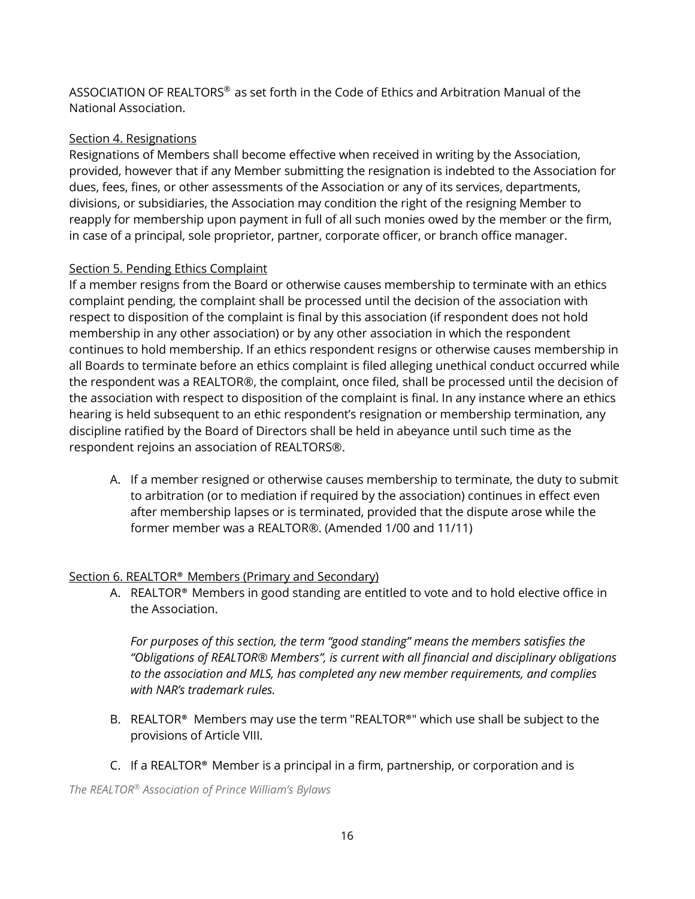ASSOCIATION OF REALTORS ® as set forth in the Code of Ethics and Arbitration Manual of the National Association.

#### Section 4. Resignations

Resignations of Members shall become effective when received in writing by the Association, provided, however that if any Member submitting the resignation is indebted to the Association for dues, fees, fines, or other assessments of the Association or any of its services, departments, divisions, or subsidiaries, the Association may condition the right of the resigning Member to reapply for membership upon payment in full of all such monies owed by the member or the firm, in case of a principal, sole proprietor, partner, corporate officer, or branch office manager.

## Section 5. Pending Ethics Complaint

If a member resigns from the Board or otherwise causes membership to terminate with an ethics complaint pending, the complaint shall be processed until the decision of the association with respect to disposition of the complaint is final by this association (if respondent does not hold membership in any other association) or by any other association in which the respondent continues to hold membership. If an ethics respondent resigns or otherwise causes membership in all Boards to terminate before an ethics complaint is filed alleging unethical conduct occurred while the respondent was a REALTOR®, the complaint, once filed, shall be processed until the decision of the association with respect to disposition of the complaint is final. In any instance where an ethics hearing is held subsequent to an ethic respondent's resignation or membership termination, any discipline ratified by the Board of Directors shall be held in abeyance until such time as the respondent rejoins an association of REALTORS®.

A. If a member resigned or otherwise causes membership to terminate, the duty to submit to arbitration (or to mediation if required by the association) continues in effect even after membership lapses or is terminated, provided that the dispute arose while the former member was a REALTOR®. (Amended 1/00 and 11/11)

## Section 6. REALTOR® Members (Primary and Secondary)

A. REALTOR® Members in good standing are entitled to vote and to hold elective office in the Association.

*For purposes of this section, the term "good standing" means the members satisfies the "Obligations of REALTOR® Members", is current with all financial and disciplinary obligations to the association and MLS, has completed any new member requirements, and complies with NAR's trademark rules.*

- B. REALTOR<sup>®</sup> Members may use the term "REALTOR®" which use shall be subject to the provisions of Article VIII.
- C. If a REALTOR® Member is a principal in a firm, partnership, or corporation and is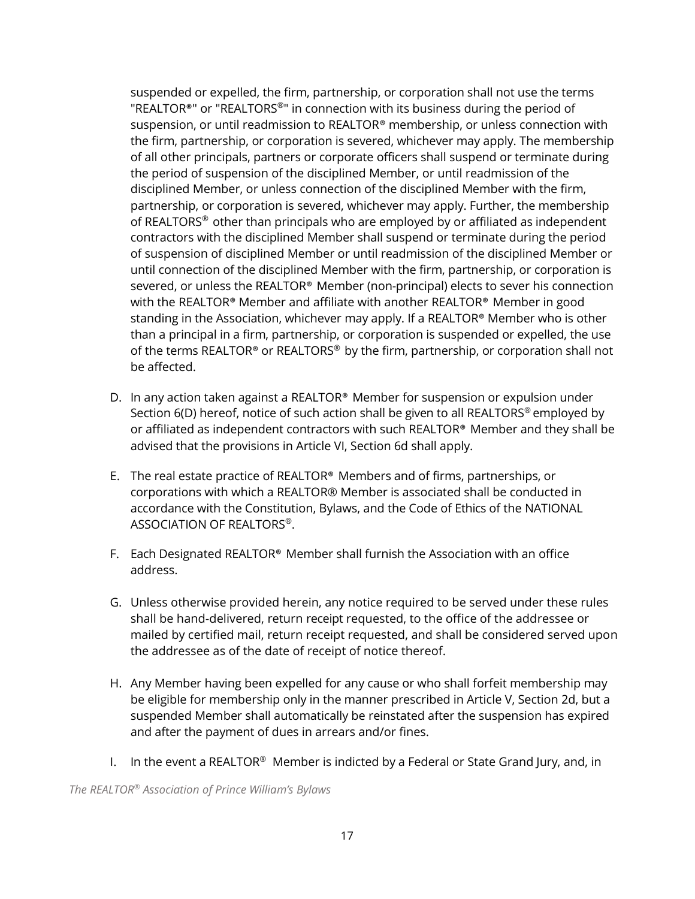suspended or expelled, the firm, partnership, or corporation shall not use the terms "REALTOR®" or "REALTORS®" in connection with its business during the period of suspension, or until readmission to REALTOR® membership, or unless connection with the firm, partnership, or corporation is severed, whichever may apply. The membership of all other principals, partners or corporate officers shall suspend or terminate during the period of suspension of the disciplined Member, or until readmission of the disciplined Member, or unless connection of the disciplined Member with the firm, partnership, or corporation is severed, whichever may apply. Further, the membership of REALTORS® other than principals who are employed by or affiliated as independent contractors with the disciplined Member shall suspend or terminate during the period of suspension of disciplined Member or until readmission of the disciplined Member or until connection of the disciplined Member with the firm, partnership, or corporation is severed, or unless the REALTOR® Member (non-principal) elects to sever his connection with the REALTOR® Member and affiliate with another REALTOR® Member in good standing in the Association, whichever may apply. If a REALTOR® Member who is other than a principal in a firm, partnership, or corporation is suspended or expelled, the use of the terms REALTOR® or REALTORS® by the firm, partnership, or corporation shall not be affected.

- D. In any action taken against a REALTOR® Member for suspension or expulsion under Section 6(D) hereof, notice of such action shall be given to all REALTORS® employed by or affiliated as independent contractors with such REALTOR® Member and they shall be advised that the provisions in Article VI, Section 6d shall apply.
- E. The real estate practice of REALTOR® Members and of firms, partnerships, or corporations with which a REALTOR® Member is associated shall be conducted in accordance with the Constitution, Bylaws, and the Code of Ethics of the NATIONAL ASSOCIATION OF REALTORS ®.
- F. Each Designated REALTOR® Member shall furnish the Association with an office address.
- G. Unless otherwise provided herein, any notice required to be served under these rules shall be hand-delivered, return receipt requested, to the office of the addressee or mailed by certified mail, return receipt requested, and shall be considered served upon the addressee as of the date of receipt of notice thereof.
- H. Any Member having been expelled for any cause or who shall forfeit membership may be eligible for membership only in the manner prescribed in Article V, Section 2d, but a suspended Member shall automatically be reinstated after the suspension has expired and after the payment of dues in arrears and/or fines.
- I. In the event a REALTOR<sup>®</sup> Member is indicted by a Federal or State Grand Jury, and, in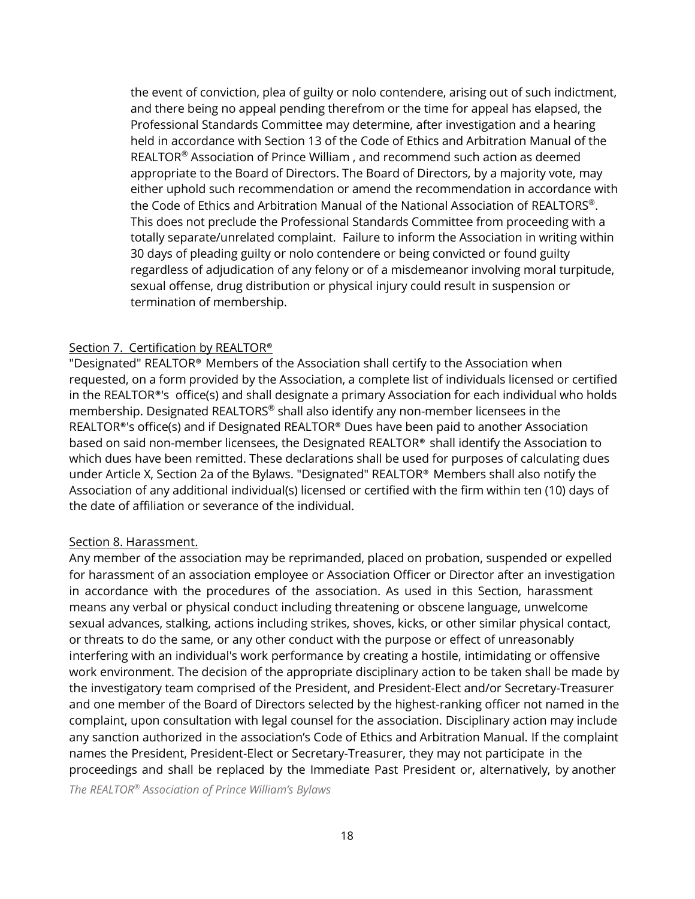the event of conviction, plea of guilty or nolo contendere, arising out of such indictment, and there being no appeal pending therefrom or the time for appeal has elapsed, the Professional Standards Committee may determine, after investigation and a hearing held in accordance with Section 13 of the Code of Ethics and Arbitration Manual of the REALTOR® Association of Prince William , and recommend such action as deemed appropriate to the Board of Directors. The Board of Directors, by a majority vote, may either uphold such recommendation or amend the recommendation in accordance with the Code of Ethics and Arbitration Manual of the National Association of REALTORS ®. This does not preclude the Professional Standards Committee from proceeding with a totally separate/unrelated complaint. Failure to inform the Association in writing within 30 days of pleading guilty or nolo contendere or being convicted or found guilty regardless of adjudication of any felony or of a misdemeanor involving moral turpitude, sexual offense, drug distribution or physical injury could result in suspension or termination of membership.

#### Section 7. Certification by REALTOR<sup>®</sup>

"Designated" REALTOR® Members of the Association shall certify to the Association when requested, on a form provided by the Association, a complete list of individuals licensed or certified in the REALTOR®'s office(s) and shall designate a primary Association for each individual who holds membership. Designated REALTORS ® shall also identify any non-member licensees in the REALTOR®'s office(s) and if Designated REALTOR® Dues have been paid to another Association based on said non-member licensees, the Designated REALTOR® shall identify the Association to which dues have been remitted. These declarations shall be used for purposes of calculating dues under Article X, Section 2a of the Bylaws. "Designated" REALTOR® Members shall also notify the Association of any additional individual(s) licensed or certified with the firm within ten (10) days of the date of affiliation or severance of the individual.

#### Section 8. Harassment.

Any member of the association may be reprimanded, placed on probation, suspended or expelled for harassment of an association employee or Association Officer or Director after an investigation in accordance with the procedures of the association. As used in this Section, harassment means any verbal or physical conduct including threatening or obscene language, unwelcome sexual advances, stalking, actions including strikes, shoves, kicks, or other similar physical contact, or threats to do the same, or any other conduct with the purpose or effect of unreasonably interfering with an individual's work performance by creating a hostile, intimidating or offensive work environment. The decision of the appropriate disciplinary action to be taken shall be made by the investigatory team comprised of the President, and President-Elect and/or Secretary-Treasurer and one member of the Board of Directors selected by the highest-ranking officer not named in the complaint, upon consultation with legal counsel for the association. Disciplinary action may include any sanction authorized in the association's Code of Ethics and Arbitration Manual. If the complaint names the President, President-Elect or Secretary-Treasurer, they may not participate in the proceedings and shall be replaced by the Immediate Past President or, alternatively, by another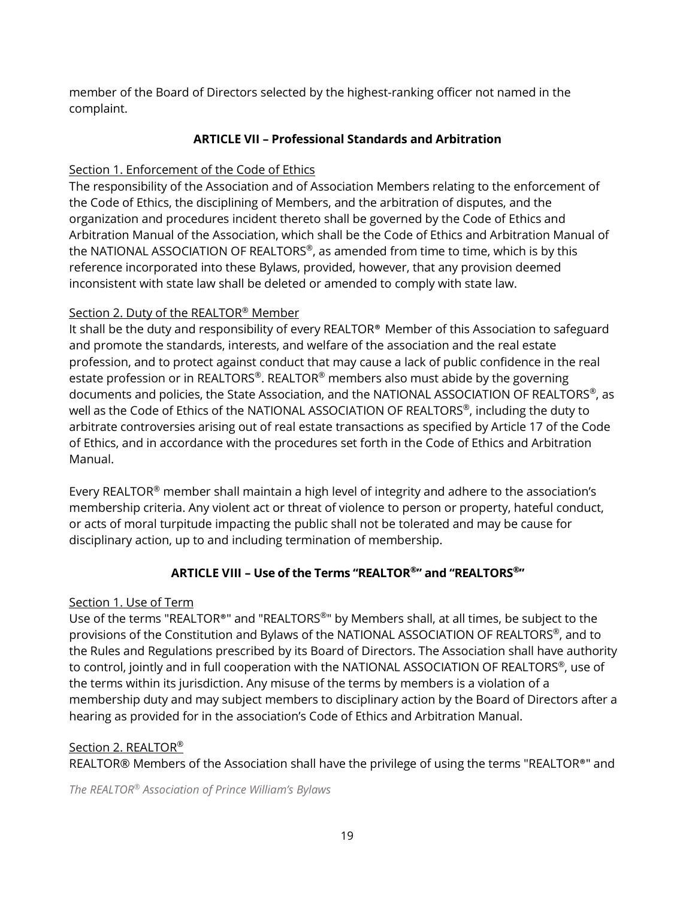member of the Board of Directors selected by the highest-ranking officer not named in the complaint.

## **ARTICLE VII – Professional Standards and Arbitration**

## Section 1. Enforcement of the Code of Ethics

The responsibility of the Association and of Association Members relating to the enforcement of the Code of Ethics, the disciplining of Members, and the arbitration of disputes, and the organization and procedures incident thereto shall be governed by the Code of Ethics and Arbitration Manual of the Association, which shall be the Code of Ethics and Arbitration Manual of the NATIONAL ASSOCIATION OF REALTORS ®, as amended from time to time, which is by this reference incorporated into these Bylaws, provided, however, that any provision deemed inconsistent with state law shall be deleted or amended to comply with state law.

# Section 2. Duty of the REALTOR® Member

It shall be the duty and responsibility of every REALTOR® Member of this Association to safeguard and promote the standards, interests, and welfare of the association and the real estate profession, and to protect against conduct that may cause a lack of public confidence in the real estate profession or in REALTORS®. REALTOR® members also must abide by the governing documents and policies, the State Association, and the NATIONAL ASSOCIATION OF REALTORS®, as well as the Code of Ethics of the NATIONAL ASSOCIATION OF REALTORS ®, including the duty to arbitrate controversies arising out of real estate transactions as specified by Article 17 of the Code of Ethics, and in accordance with the procedures set forth in the Code of Ethics and Arbitration Manual.

Every REALTOR® member shall maintain a high level of integrity and adhere to the association's membership criteria. Any violent act or threat of violence to person or property, hateful conduct, or acts of moral turpitude impacting the public shall not be tolerated and may be cause for disciplinary action, up to and including termination of membership.

# **ARTICLE VIII – Use of the Terms "REALTOR®" and "REALTORS ®"**

## Section 1. Use of Term

Use of the terms "REALTOR®" and "REALTORS®" by Members shall, at all times, be subject to the provisions of the Constitution and Bylaws of the NATIONAL ASSOCIATION OF REALTORS ®, and to the Rules and Regulations prescribed by its Board of Directors. The Association shall have authority to control, jointly and in full cooperation with the NATIONAL ASSOCIATION OF REALTORS ®, use of the terms within its jurisdiction. Any misuse of the terms by members is a violation of a membership duty and may subject members to disciplinary action by the Board of Directors after a hearing as provided for in the association's Code of Ethics and Arbitration Manual.

## Section 2. REALTOR<sup>®</sup>

REALTOR® Members of the Association shall have the privilege of using the terms "REALTOR®" and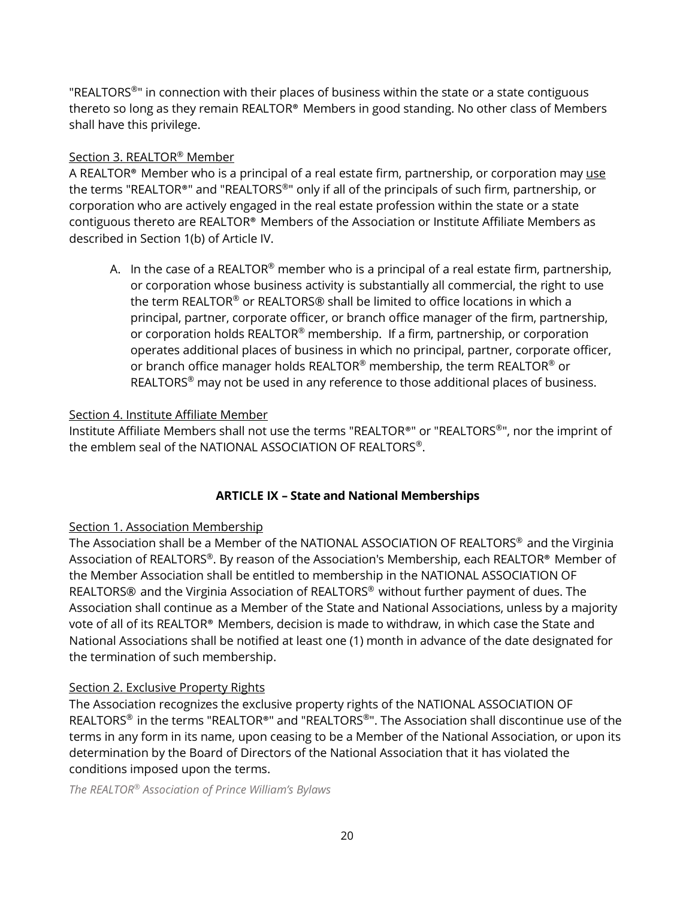"REALTORS<sup>®</sup>" in connection with their places of business within the state or a state contiguous thereto so long as they remain REALTOR® Members in good standing. No other class of Members shall have this privilege.

#### Section 3. REALTOR® Member

A REALTOR® Member who is a principal of a real estate firm, partnership, or corporation may use the terms "REALTOR®" and "REALTORS ®" only if all of the principals of such firm, partnership, or corporation who are actively engaged in the real estate profession within the state or a state contiguous thereto are REALTOR® Members of the Association or Institute Affiliate Members as described in Section 1(b) of Article IV.

A. In the case of a REALTOR® member who is a principal of a real estate firm, partnership, or corporation whose business activity is substantially all commercial, the right to use the term REALTOR® or REALTORS® shall be limited to office locations in which a principal, partner, corporate officer, or branch office manager of the firm, partnership, or corporation holds REALTOR® membership. If a firm, partnership, or corporation operates additional places of business in which no principal, partner, corporate officer, or branch office manager holds REALTOR® membership, the term REALTOR® or REALTORS<sup>®</sup> may not be used in any reference to those additional places of business.

#### Section 4. Institute Affiliate Member

Institute Affiliate Members shall not use the terms "REALTOR®" or "REALTORS ®", nor the imprint of the emblem seal of the NATIONAL ASSOCIATION OF REALTORS ®.

## **ARTICLE IX – State and National Memberships**

## Section 1. Association Membership

The Association shall be a Member of the NATIONAL ASSOCIATION OF REALTORS ® and the Virginia Association of REALTORS®. By reason of the Association's Membership, each REALTOR® Member of the Member Association shall be entitled to membership in the NATIONAL ASSOCIATION OF REALTORS® and the Virginia Association of REALTORS® without further payment of dues. The Association shall continue as a Member of the State and National Associations, unless by a majority vote of all of its REALTOR® Members, decision is made to withdraw, in which case the State and National Associations shall be notified at least one (1) month in advance of the date designated for the termination of such membership.

#### Section 2. Exclusive Property Rights

The Association recognizes the exclusive property rights of the NATIONAL ASSOCIATION OF REALTORS® in the terms "REALTOR®" and "REALTORS®". The Association shall discontinue use of the terms in any form in its name, upon ceasing to be a Member of the National Association, or upon its determination by the Board of Directors of the National Association that it has violated the conditions imposed upon the terms.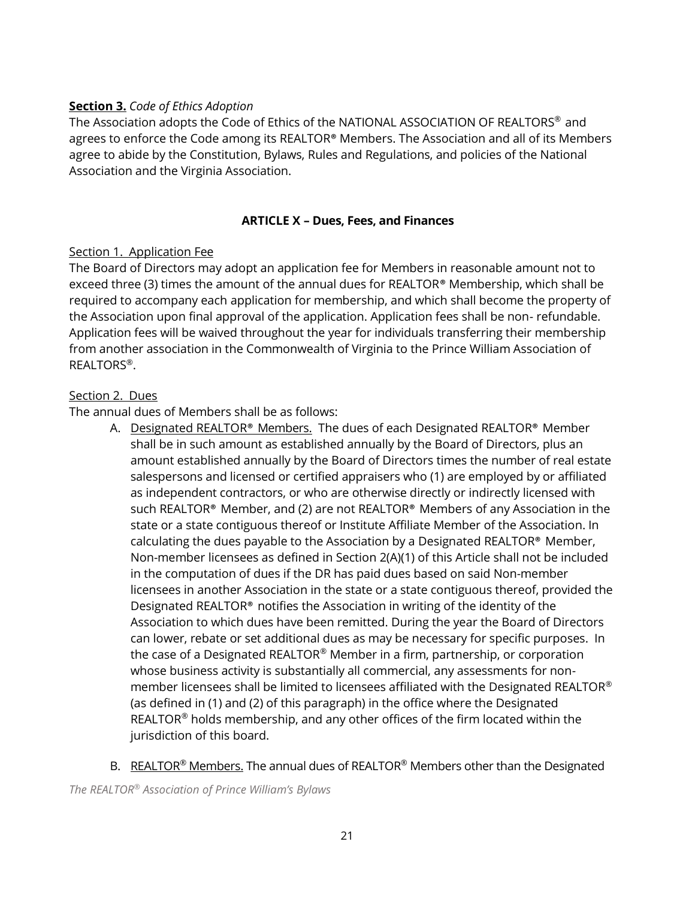#### **Section 3.** *Code of Ethics Adoption*

The Association adopts the Code of Ethics of the NATIONAL ASSOCIATION OF REALTORS® and agrees to enforce the Code among its REALTOR® Members. The Association and all of its Members agree to abide by the Constitution, Bylaws, Rules and Regulations, and policies of the National Association and the Virginia Association.

#### **ARTICLE X – Dues, Fees, and Finances**

#### Section 1. Application Fee

The Board of Directors may adopt an application fee for Members in reasonable amount not to exceed three (3) times the amount of the annual dues for REALTOR® Membership, which shall be required to accompany each application for membership, and which shall become the property of the Association upon final approval of the application. Application fees shall be non- refundable. Application fees will be waived throughout the year for individuals transferring their membership from another association in the Commonwealth of Virginia to the Prince William Association of REALTORS ®.

#### Section 2. Dues

The annual dues of Members shall be as follows:

- A. Designated REALTOR® Members. The dues of each Designated REALTOR® Member shall be in such amount as established annually by the Board of Directors, plus an amount established annually by the Board of Directors times the number of real estate salespersons and licensed or certified appraisers who (1) are employed by or affiliated as independent contractors, or who are otherwise directly or indirectly licensed with such REALTOR® Member, and (2) are not REALTOR® Members of any Association in the state or a state contiguous thereof or Institute Affiliate Member of the Association. In calculating the dues payable to the Association by a Designated REALTOR® Member, Non-member licensees as defined in Section 2(A)(1) of this Article shall not be included in the computation of dues if the DR has paid dues based on said Non-member licensees in another Association in the state or a state contiguous thereof, provided the Designated REALTOR® notifies the Association in writing of the identity of the Association to which dues have been remitted. During the year the Board of Directors can lower, rebate or set additional dues as may be necessary for specific purposes. In the case of a Designated REALTOR® Member in a firm, partnership, or corporation whose business activity is substantially all commercial, any assessments for nonmember licensees shall be limited to licensees affiliated with the Designated REALTOR ® (as defined in (1) and (2) of this paragraph) in the office where the Designated REALTOR<sup>®</sup> holds membership, and any other offices of the firm located within the jurisdiction of this board.
- B. REALTOR<sup>®</sup> Members. The annual dues of REALTOR<sup>®</sup> Members other than the Designated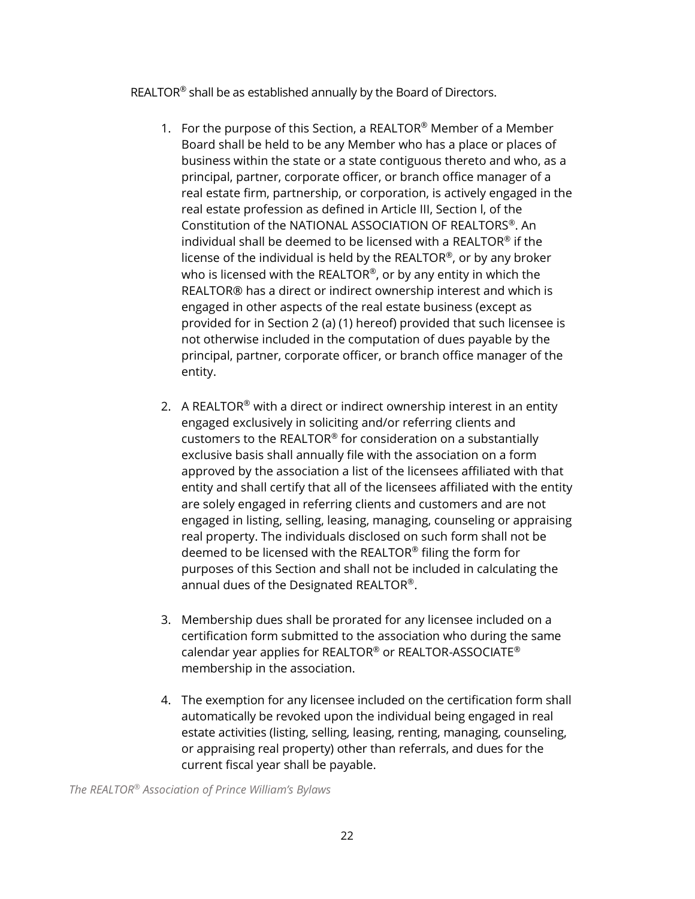REALTOR<sup>®</sup> shall be as established annually by the Board of Directors.

- 1. For the purpose of this Section, a REALTOR<sup>®</sup> Member of a Member Board shall be held to be any Member who has a place or places of business within the state or a state contiguous thereto and who, as a principal, partner, corporate officer, or branch office manager of a real estate firm, partnership, or corporation, is actively engaged in the real estate profession as defined in Article III, Section l, of the Constitution of the NATIONAL ASSOCIATION OF REALTORS ®. An individual shall be deemed to be licensed with a REALTOR® if the license of the individual is held by the REALTOR®, or by any broker who is licensed with the REALTOR®, or by any entity in which the REALTOR® has a direct or indirect ownership interest and which is engaged in other aspects of the real estate business (except as provided for in Section 2 (a) (1) hereof) provided that such licensee is not otherwise included in the computation of dues payable by the principal, partner, corporate officer, or branch office manager of the entity.
- 2. A REALTOR<sup>®</sup> with a direct or indirect ownership interest in an entity engaged exclusively in soliciting and/or referring clients and customers to the REALTOR® for consideration on a substantially exclusive basis shall annually file with the association on a form approved by the association a list of the licensees affiliated with that entity and shall certify that all of the licensees affiliated with the entity are solely engaged in referring clients and customers and are not engaged in listing, selling, leasing, managing, counseling or appraising real property. The individuals disclosed on such form shall not be deemed to be licensed with the REALTOR® filing the form for purposes of this Section and shall not be included in calculating the annual dues of the Designated REALTOR®.
- 3. Membership dues shall be prorated for any licensee included on a certification form submitted to the association who during the same calendar year applies for REALTOR® or REALTOR-ASSOCIATE ® membership in the association.
- 4. The exemption for any licensee included on the certification form shall automatically be revoked upon the individual being engaged in real estate activities (listing, selling, leasing, renting, managing, counseling, or appraising real property) other than referrals, and dues for the current fiscal year shall be payable.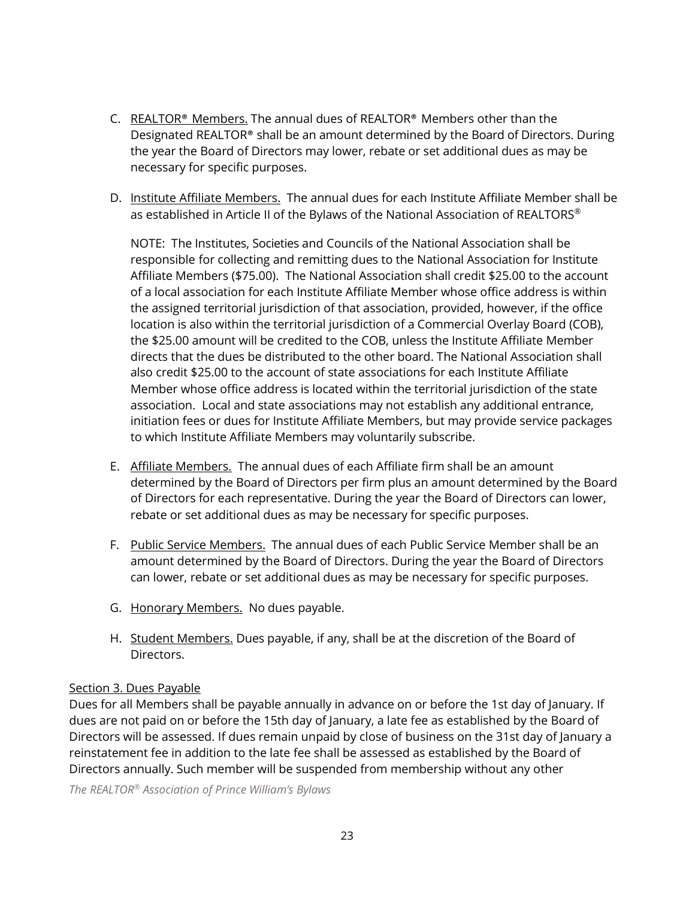- C. REALTOR® Members. The annual dues of REALTOR® Members other than the Designated REALTOR® shall be an amount determined by the Board of Directors. During the year the Board of Directors may lower, rebate or set additional dues as may be necessary for specific purposes.
- D. Institute Affiliate Members. The annual dues for each Institute Affiliate Member shall be as established in Article II of the Bylaws of the National Association of <code>REALTORS $^\circ$ </code>

NOTE: The Institutes, Societies and Councils of the National Association shall be responsible for collecting and remitting dues to the National Association for Institute Affiliate Members (\$75.00). The National Association shall credit \$25.00 to the account of a local association for each Institute Affiliate Member whose office address is within the assigned territorial jurisdiction of that association, provided, however, if the office location is also within the territorial jurisdiction of a Commercial Overlay Board (COB), the \$25.00 amount will be credited to the COB, unless the Institute Affiliate Member directs that the dues be distributed to the other board. The National Association shall also credit \$25.00 to the account of state associations for each Institute Affiliate Member whose office address is located within the territorial jurisdiction of the state association. Local and state associations may not establish any additional entrance, initiation fees or dues for Institute Affiliate Members, but may provide service packages to which Institute Affiliate Members may voluntarily subscribe.

- E. Affiliate Members. The annual dues of each Affiliate firm shall be an amount determined by the Board of Directors per firm plus an amount determined by the Board of Directors for each representative. During the year the Board of Directors can lower, rebate or set additional dues as may be necessary for specific purposes.
- F. Public Service Members. The annual dues of each Public Service Member shall be an amount determined by the Board of Directors. During the year the Board of Directors can lower, rebate or set additional dues as may be necessary for specific purposes.
- G. Honorary Members. No dues payable.
- H. Student Members. Dues payable, if any, shall be at the discretion of the Board of Directors.

## Section 3. Dues Payable

Dues for all Members shall be payable annually in advance on or before the 1st day of January. If dues are not paid on or before the 15th day of January, a late fee as established by the Board of Directors will be assessed. If dues remain unpaid by close of business on the 31st day of January a reinstatement fee in addition to the late fee shall be assessed as established by the Board of Directors annually. Such member will be suspended from membership without any other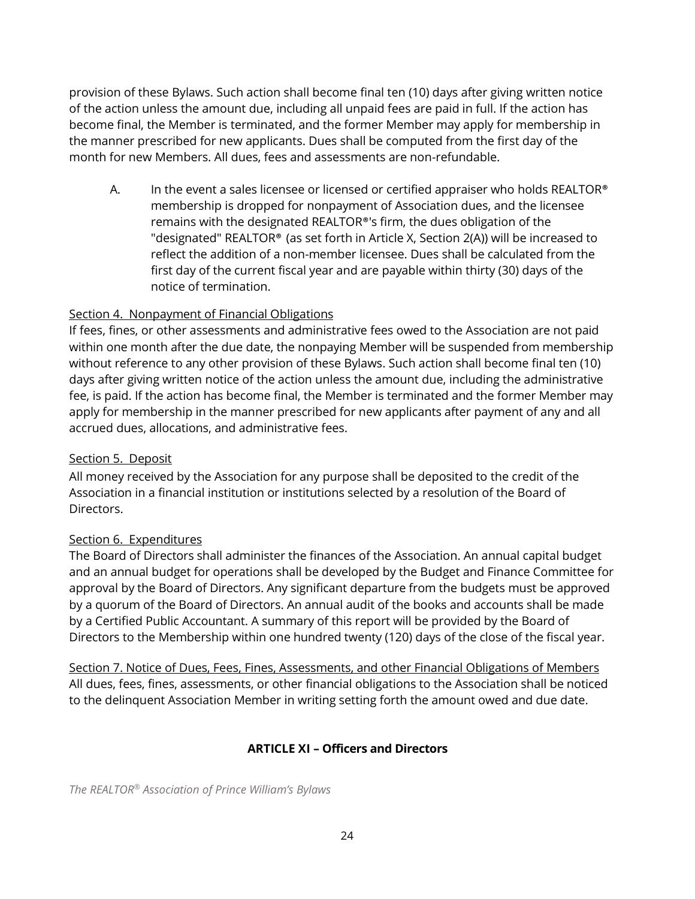provision of these Bylaws. Such action shall become final ten (10) days after giving written notice of the action unless the amount due, including all unpaid fees are paid in full. If the action has become final, the Member is terminated, and the former Member may apply for membership in the manner prescribed for new applicants. Dues shall be computed from the first day of the month for new Members. All dues, fees and assessments are non-refundable.

A. In the event a sales licensee or licensed or certified appraiser who holds REALTOR<sup>®</sup> membership is dropped for nonpayment of Association dues, and the licensee remains with the designated REALTOR®'s firm, the dues obligation of the "designated" REALTOR® (as set forth in Article X, Section 2(A)) will be increased to reflect the addition of a non-member licensee. Dues shall be calculated from the first day of the current fiscal year and are payable within thirty (30) days of the notice of termination.

#### Section 4. Nonpayment of Financial Obligations

If fees, fines, or other assessments and administrative fees owed to the Association are not paid within one month after the due date, the nonpaying Member will be suspended from membership without reference to any other provision of these Bylaws. Such action shall become final ten (10) days after giving written notice of the action unless the amount due, including the administrative fee, is paid. If the action has become final, the Member is terminated and the former Member may apply for membership in the manner prescribed for new applicants after payment of any and all accrued dues, allocations, and administrative fees.

#### Section 5. Deposit

All money received by the Association for any purpose shall be deposited to the credit of the Association in a financial institution or institutions selected by a resolution of the Board of Directors.

#### Section 6. Expenditures

The Board of Directors shall administer the finances of the Association. An annual capital budget and an annual budget for operations shall be developed by the Budget and Finance Committee for approval by the Board of Directors. Any significant departure from the budgets must be approved by a quorum of the Board of Directors. An annual audit of the books and accounts shall be made by a Certified Public Accountant. A summary of this report will be provided by the Board of Directors to the Membership within one hundred twenty (120) days of the close of the fiscal year.

Section 7. Notice of Dues, Fees, Fines, Assessments, and other Financial Obligations of Members All dues, fees, fines, assessments, or other financial obligations to the Association shall be noticed to the delinquent Association Member in writing setting forth the amount owed and due date.

## **ARTICLE XI – Officers and Directors**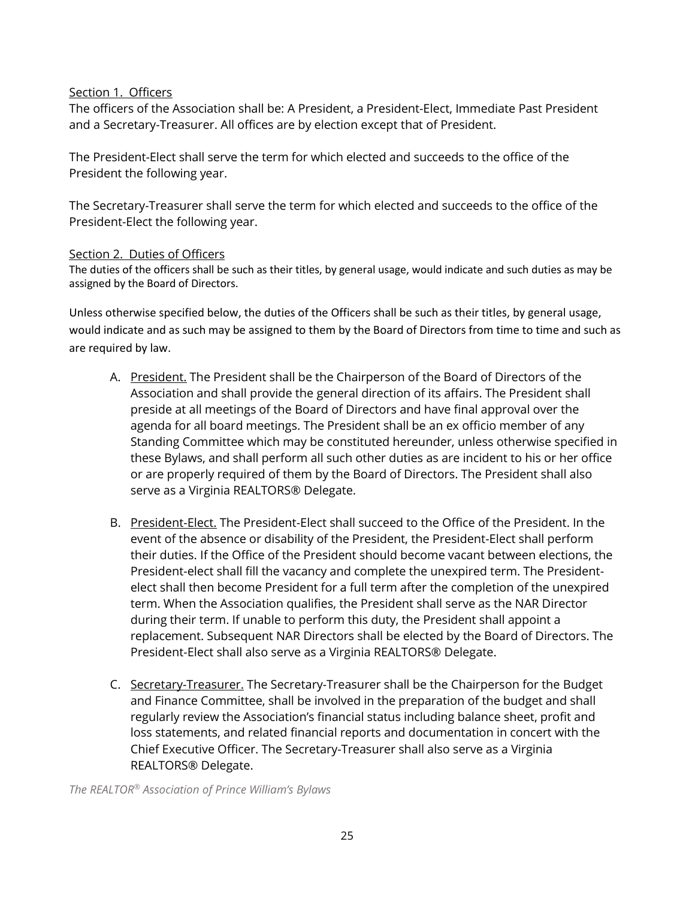#### Section 1. Officers

The officers of the Association shall be: A President, a President-Elect, Immediate Past President and a Secretary-Treasurer. All offices are by election except that of President.

The President-Elect shall serve the term for which elected and succeeds to the office of the President the following year.

The Secretary-Treasurer shall serve the term for which elected and succeeds to the office of the President-Elect the following year.

#### Section 2. Duties of Officers

The duties of the officers shall be such as their titles, by general usage, would indicate and such duties as may be assigned by the Board of Directors.

Unless otherwise specified below, the duties of the Officers shall be such as their titles, by general usage, would indicate and as such may be assigned to them by the Board of Directors from time to time and such as are required by law.

- A. President. The President shall be the Chairperson of the Board of Directors of the Association and shall provide the general direction of its affairs. The President shall preside at all meetings of the Board of Directors and have final approval over the agenda for all board meetings. The President shall be an ex officio member of any Standing Committee which may be constituted hereunder, unless otherwise specified in these Bylaws, and shall perform all such other duties as are incident to his or her office or are properly required of them by the Board of Directors. The President shall also serve as a Virginia REALTORS® Delegate.
- B. President-Elect. The President-Elect shall succeed to the Office of the President. In the event of the absence or disability of the President, the President-Elect shall perform their duties. If the Office of the President should become vacant between elections, the President-elect shall fill the vacancy and complete the unexpired term. The Presidentelect shall then become President for a full term after the completion of the unexpired term. When the Association qualifies, the President shall serve as the NAR Director during their term. If unable to perform this duty, the President shall appoint a replacement. Subsequent NAR Directors shall be elected by the Board of Directors. The President-Elect shall also serve as a Virginia REALTORS® Delegate.
- C. Secretary-Treasurer. The Secretary-Treasurer shall be the Chairperson for the Budget and Finance Committee, shall be involved in the preparation of the budget and shall regularly review the Association's financial status including balance sheet, profit and loss statements, and related financial reports and documentation in concert with the Chief Executive Officer. The Secretary-Treasurer shall also serve as a Virginia REALTORS® Delegate.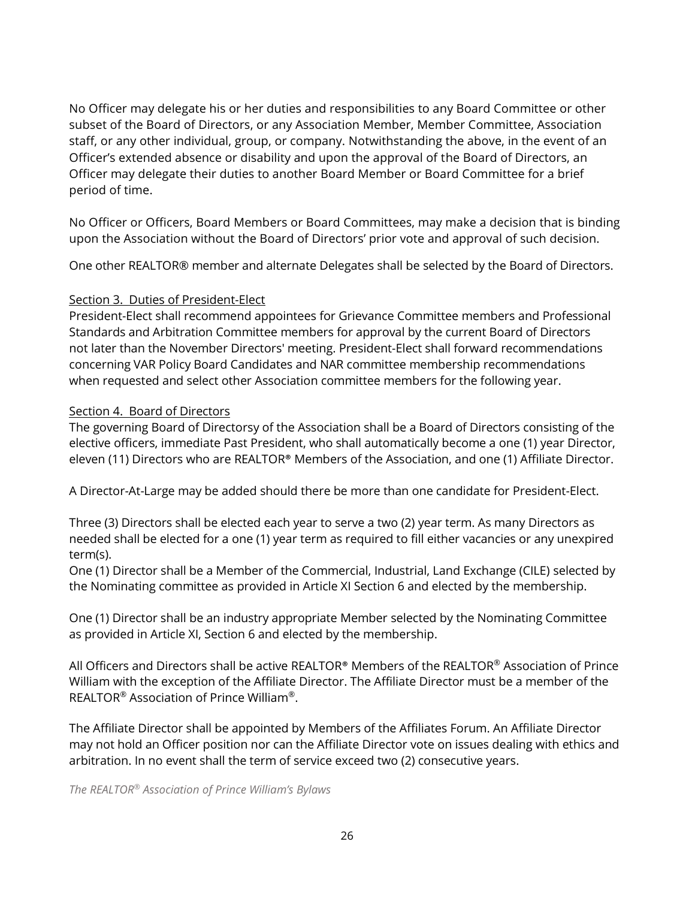No Officer may delegate his or her duties and responsibilities to any Board Committee or other subset of the Board of Directors, or any Association Member, Member Committee, Association staff, or any other individual, group, or company. Notwithstanding the above, in the event of an Officer's extended absence or disability and upon the approval of the Board of Directors, an Officer may delegate their duties to another Board Member or Board Committee for a brief period of time.

No Officer or Officers, Board Members or Board Committees, may make a decision that is binding upon the Association without the Board of Directors' prior vote and approval of such decision.

One other REALTOR® member and alternate Delegates shall be selected by the Board of Directors.

#### Section 3. Duties of President-Elect

President-Elect shall recommend appointees for Grievance Committee members and Professional Standards and Arbitration Committee members for approval by the current Board of Directors not later than the November Directors' meeting. President-Elect shall forward recommendations concerning VAR Policy Board Candidates and NAR committee membership recommendations when requested and select other Association committee members for the following year.

#### Section 4. Board of Directors

The governing Board of Directorsy of the Association shall be a Board of Directors consisting of the elective officers, immediate Past President, who shall automatically become a one (1) year Director, eleven (11) Directors who are REALTOR® Members of the Association, and one (1) Affiliate Director.

A Director-At-Large may be added should there be more than one candidate for President-Elect.

Three (3) Directors shall be elected each year to serve a two (2) year term. As many Directors as needed shall be elected for a one (1) year term as required to fill either vacancies or any unexpired term(s).

One (1) Director shall be a Member of the Commercial, Industrial, Land Exchange (CILE) selected by the Nominating committee as provided in Article XI Section 6 and elected by the membership.

One (1) Director shall be an industry appropriate Member selected by the Nominating Committee as provided in Article XI, Section 6 and elected by the membership.

All Officers and Directors shall be active REALTOR® Members of the REALTOR® Association of Prince William with the exception of the Affiliate Director. The Affiliate Director must be a member of the REALTOR® Association of Prince William®.

The Affiliate Director shall be appointed by Members of the Affiliates Forum. An Affiliate Director may not hold an Officer position nor can the Affiliate Director vote on issues dealing with ethics and arbitration. In no event shall the term of service exceed two (2) consecutive years.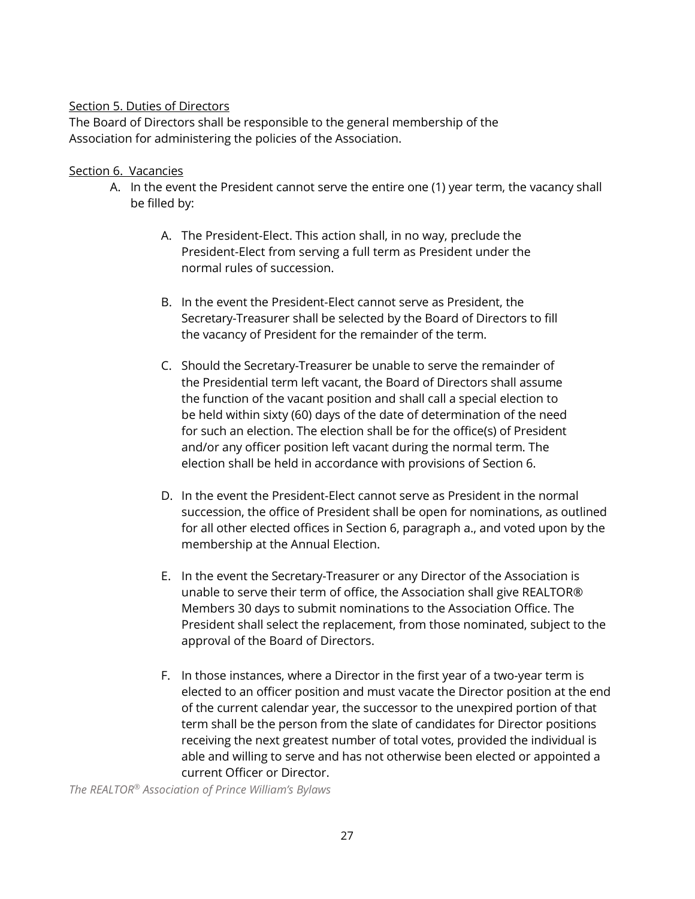#### Section 5. Duties of Directors

The Board of Directors shall be responsible to the general membership of the Association for administering the policies of the Association.

#### Section 6. Vacancies

- A. In the event the President cannot serve the entire one (1) year term, the vacancy shall be filled by:
	- A. The President-Elect. This action shall, in no way, preclude the President-Elect from serving a full term as President under the normal rules of succession.
	- B. In the event the President-Elect cannot serve as President, the Secretary-Treasurer shall be selected by the Board of Directors to fill the vacancy of President for the remainder of the term.
	- C. Should the Secretary-Treasurer be unable to serve the remainder of the Presidential term left vacant, the Board of Directors shall assume the function of the vacant position and shall call a special election to be held within sixty (60) days of the date of determination of the need for such an election. The election shall be for the office(s) of President and/or any officer position left vacant during the normal term. The election shall be held in accordance with provisions of Section 6.
	- D. In the event the President-Elect cannot serve as President in the normal succession, the office of President shall be open for nominations, as outlined for all other elected offices in Section 6, paragraph a., and voted upon by the membership at the Annual Election.
	- E. In the event the Secretary-Treasurer or any Director of the Association is unable to serve their term of office, the Association shall give REALTOR® Members 30 days to submit nominations to the Association Office. The President shall select the replacement, from those nominated, subject to the approval of the Board of Directors.
	- F. In those instances, where a Director in the first year of a two-year term is elected to an officer position and must vacate the Director position at the end of the current calendar year, the successor to the unexpired portion of that term shall be the person from the slate of candidates for Director positions receiving the next greatest number of total votes, provided the individual is able and willing to serve and has not otherwise been elected or appointed a current Officer or Director.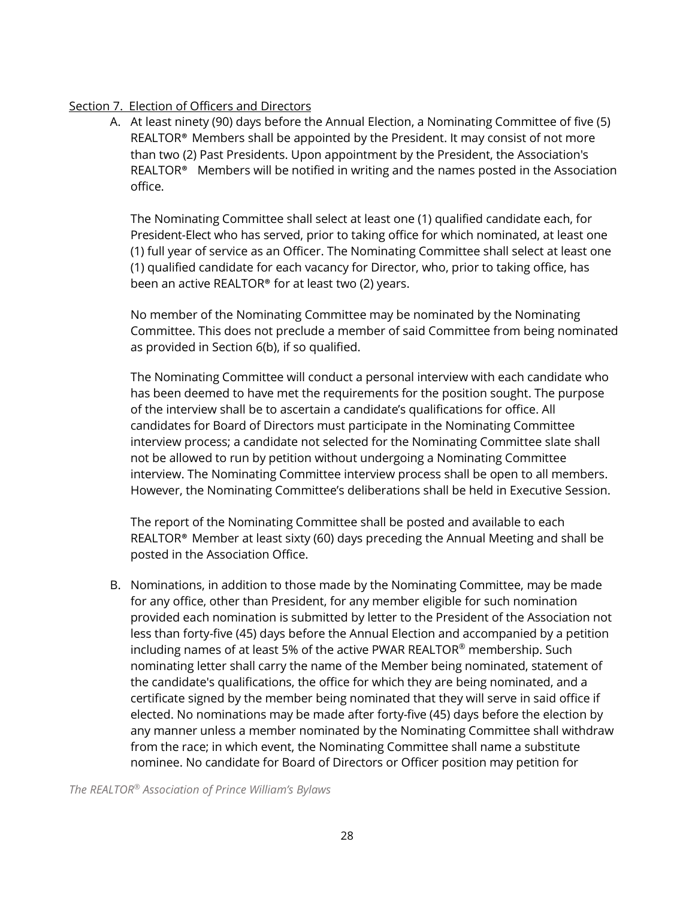#### Section 7. Election of Officers and Directors

A. At least ninety (90) days before the Annual Election, a Nominating Committee of five (5) REALTOR® Members shall be appointed by the President. It may consist of not more than two (2) Past Presidents. Upon appointment by the President, the Association's REALTOR<sup>®</sup> Members will be notified in writing and the names posted in the Association office.

The Nominating Committee shall select at least one (1) qualified candidate each, for President-Elect who has served, prior to taking office for which nominated, at least one (1) full year of service as an Officer. The Nominating Committee shall select at least one (1) qualified candidate for each vacancy for Director, who, prior to taking office, has been an active REALTOR® for at least two (2) years.

No member of the Nominating Committee may be nominated by the Nominating Committee. This does not preclude a member of said Committee from being nominated as provided in Section 6(b), if so qualified.

The Nominating Committee will conduct a personal interview with each candidate who has been deemed to have met the requirements for the position sought. The purpose of the interview shall be to ascertain a candidate's qualifications for office. All candidates for Board of Directors must participate in the Nominating Committee interview process; a candidate not selected for the Nominating Committee slate shall not be allowed to run by petition without undergoing a Nominating Committee interview. The Nominating Committee interview process shall be open to all members. However, the Nominating Committee's deliberations shall be held in Executive Session.

The report of the Nominating Committee shall be posted and available to each REALTOR® Member at least sixty (60) days preceding the Annual Meeting and shall be posted in the Association Office.

B. Nominations, in addition to those made by the Nominating Committee, may be made for any office, other than President, for any member eligible for such nomination provided each nomination is submitted by letter to the President of the Association not less than forty-five (45) days before the Annual Election and accompanied by a petition including names of at least 5% of the active PWAR REALTOR® membership. Such nominating letter shall carry the name of the Member being nominated, statement of the candidate's qualifications, the office for which they are being nominated, and a certificate signed by the member being nominated that they will serve in said office if elected. No nominations may be made after forty-five (45) days before the election by any manner unless a member nominated by the Nominating Committee shall withdraw from the race; in which event, the Nominating Committee shall name a substitute nominee. No candidate for Board of Directors or Officer position may petition for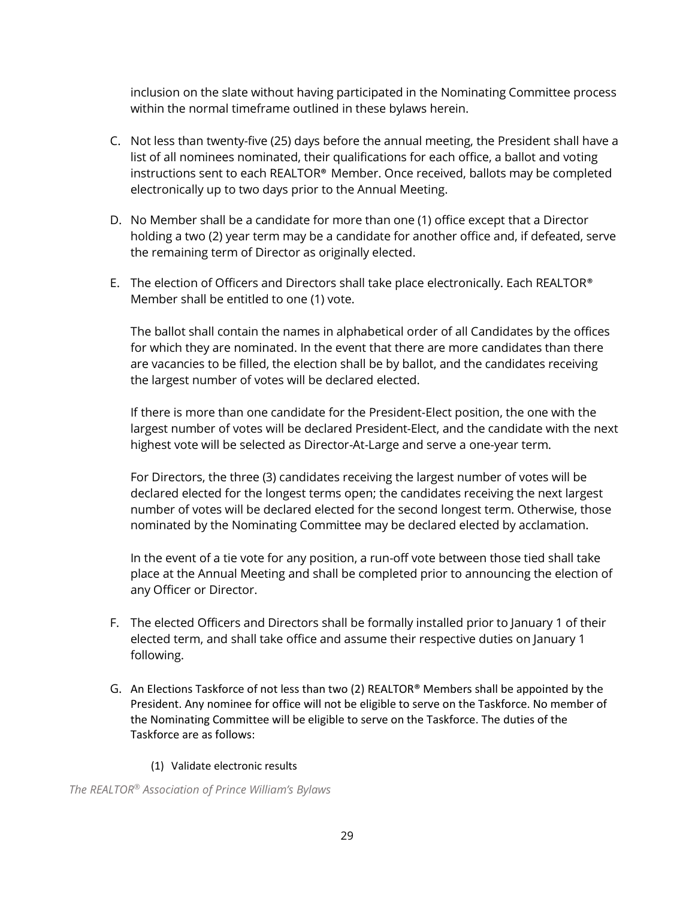inclusion on the slate without having participated in the Nominating Committee process within the normal timeframe outlined in these bylaws herein.

- C. Not less than twenty-five (25) days before the annual meeting, the President shall have a list of all nominees nominated, their qualifications for each office, a ballot and voting instructions sent to each REALTOR® Member. Once received, ballots may be completed electronically up to two days prior to the Annual Meeting.
- D. No Member shall be a candidate for more than one (1) office except that a Director holding a two (2) year term may be a candidate for another office and, if defeated, serve the remaining term of Director as originally elected.
- E. The election of Officers and Directors shall take place electronically. Each REALTOR® Member shall be entitled to one (1) vote.

The ballot shall contain the names in alphabetical order of all Candidates by the offices for which they are nominated. In the event that there are more candidates than there are vacancies to be filled, the election shall be by ballot, and the candidates receiving the largest number of votes will be declared elected.

If there is more than one candidate for the President-Elect position, the one with the largest number of votes will be declared President-Elect, and the candidate with the next highest vote will be selected as Director-At-Large and serve a one-year term.

For Directors, the three (3) candidates receiving the largest number of votes will be declared elected for the longest terms open; the candidates receiving the next largest number of votes will be declared elected for the second longest term. Otherwise, those nominated by the Nominating Committee may be declared elected by acclamation.

In the event of a tie vote for any position, a run-off vote between those tied shall take place at the Annual Meeting and shall be completed prior to announcing the election of any Officer or Director.

- F. The elected Officers and Directors shall be formally installed prior to January 1 of their elected term, and shall take office and assume their respective duties on January 1 following.
- G. An Elections Taskforce of not less than two (2) REALTOR<sup>®</sup> Members shall be appointed by the President. Any nominee for office will not be eligible to serve on the Taskforce. No member of the Nominating Committee will be eligible to serve on the Taskforce. The duties of the Taskforce are as follows:
	- (1) Validate electronic results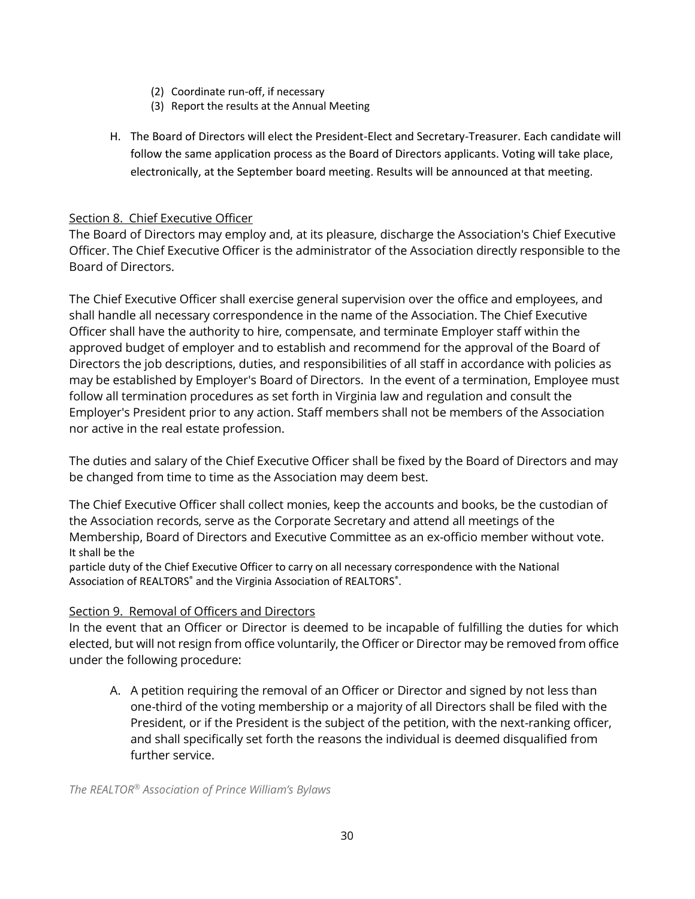- (2) Coordinate run-off, if necessary
- (3) Report the results at the Annual Meeting
- H. The Board of Directors will elect the President-Elect and Secretary-Treasurer. Each candidate will follow the same application process as the Board of Directors applicants. Voting will take place, electronically, at the September board meeting. Results will be announced at that meeting.

#### Section 8. Chief Executive Officer

The Board of Directors may employ and, at its pleasure, discharge the Association's Chief Executive Officer. The Chief Executive Officer is the administrator of the Association directly responsible to the Board of Directors.

The Chief Executive Officer shall exercise general supervision over the office and employees, and shall handle all necessary correspondence in the name of the Association. The Chief Executive Officer shall have the authority to hire, compensate, and terminate Employer staff within the approved budget of employer and to establish and recommend for the approval of the Board of Directors the job descriptions, duties, and responsibilities of all staff in accordance with policies as may be established by Employer's Board of Directors. In the event of a termination, Employee must follow all termination procedures as set forth in Virginia law and regulation and consult the Employer's President prior to any action. Staff members shall not be members of the Association nor active in the real estate profession.

The duties and salary of the Chief Executive Officer shall be fixed by the Board of Directors and may be changed from time to time as the Association may deem best.

The Chief Executive Officer shall collect monies, keep the accounts and books, be the custodian of the Association records, serve as the Corporate Secretary and attend all meetings of the Membership, Board of Directors and Executive Committee as an ex-officio member without vote. It shall be the

particle duty of the Chief Executive Officer to carry on all necessary correspondence with the National Association of REALTORS<sup>®</sup> and the Virginia Association of REALTORS<sup>®</sup>.

#### Section 9. Removal of Officers and Directors

In the event that an Officer or Director is deemed to be incapable of fulfilling the duties for which elected, but will not resign from office voluntarily, the Officer or Director may be removed from office under the following procedure:

A. A petition requiring the removal of an Officer or Director and signed by not less than one-third of the voting membership or a majority of all Directors shall be filed with the President, or if the President is the subject of the petition, with the next-ranking officer, and shall specifically set forth the reasons the individual is deemed disqualified from further service.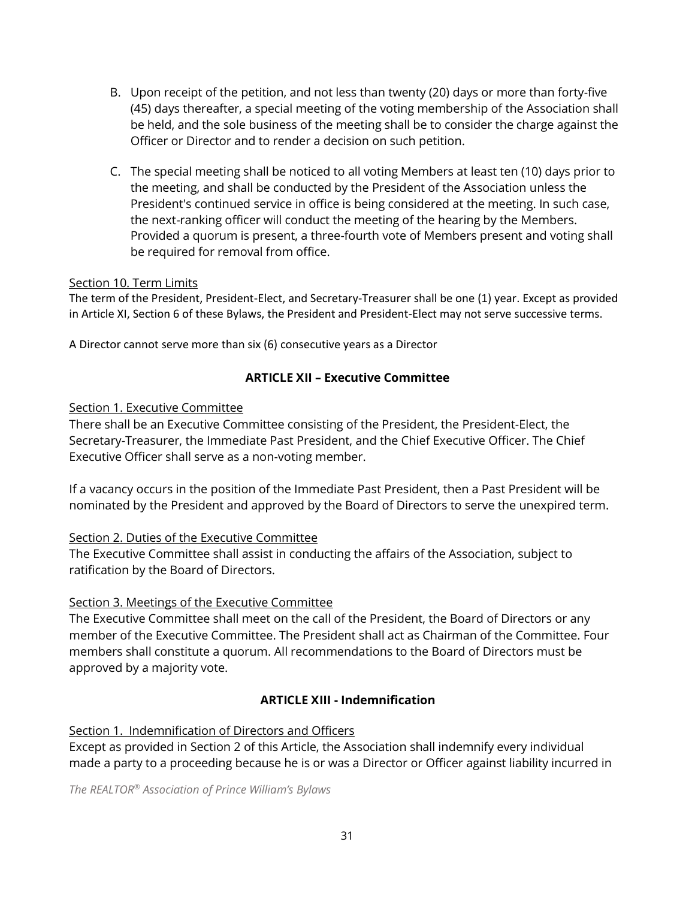- B. Upon receipt of the petition, and not less than twenty (20) days or more than forty-five (45) days thereafter, a special meeting of the voting membership of the Association shall be held, and the sole business of the meeting shall be to consider the charge against the Officer or Director and to render a decision on such petition.
- C. The special meeting shall be noticed to all voting Members at least ten (10) days prior to the meeting, and shall be conducted by the President of the Association unless the President's continued service in office is being considered at the meeting. In such case, the next-ranking officer will conduct the meeting of the hearing by the Members. Provided a quorum is present, a three-fourth vote of Members present and voting shall be required for removal from office.

#### Section 10. Term Limits

The term of the President, President-Elect, and Secretary-Treasurer shall be one (1) year. Except as provided in Article XI, Section 6 of these Bylaws, the President and President-Elect may not serve successive terms.

A Director cannot serve more than six (6) consecutive years as a Director

#### **ARTICLE XII – Executive Committee**

#### Section 1. Executive Committee

There shall be an Executive Committee consisting of the President, the President-Elect, the Secretary-Treasurer, the Immediate Past President, and the Chief Executive Officer. The Chief Executive Officer shall serve as a non-voting member.

If a vacancy occurs in the position of the Immediate Past President, then a Past President will be nominated by the President and approved by the Board of Directors to serve the unexpired term.

#### Section 2. Duties of the Executive Committee

The Executive Committee shall assist in conducting the affairs of the Association, subject to ratification by the Board of Directors.

#### Section 3. Meetings of the Executive Committee

The Executive Committee shall meet on the call of the President, the Board of Directors or any member of the Executive Committee. The President shall act as Chairman of the Committee. Four members shall constitute a quorum. All recommendations to the Board of Directors must be approved by a majority vote.

#### **ARTICLE XIII - Indemnification**

Section 1. Indemnification of Directors and Officers

Except as provided in Section 2 of this Article, the Association shall indemnify every individual made a party to a proceeding because he is or was a Director or Officer against liability incurred in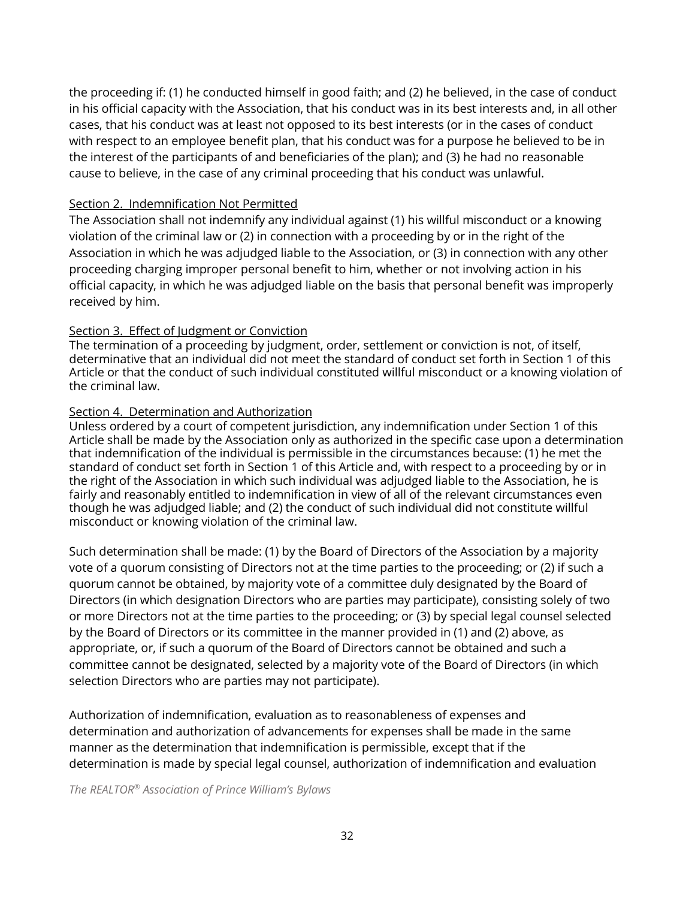the proceeding if: (1) he conducted himself in good faith; and (2) he believed, in the case of conduct in his official capacity with the Association, that his conduct was in its best interests and, in all other cases, that his conduct was at least not opposed to its best interests (or in the cases of conduct with respect to an employee benefit plan, that his conduct was for a purpose he believed to be in the interest of the participants of and beneficiaries of the plan); and (3) he had no reasonable cause to believe, in the case of any criminal proceeding that his conduct was unlawful.

#### Section 2. Indemnification Not Permitted

The Association shall not indemnify any individual against (1) his willful misconduct or a knowing violation of the criminal law or (2) in connection with a proceeding by or in the right of the Association in which he was adjudged liable to the Association, or (3) in connection with any other proceeding charging improper personal benefit to him, whether or not involving action in his official capacity, in which he was adjudged liable on the basis that personal benefit was improperly received by him.

#### Section 3. Effect of Judgment or Conviction

The termination of a proceeding by judgment, order, settlement or conviction is not, of itself, determinative that an individual did not meet the standard of conduct set forth in Section 1 of this Article or that the conduct of such individual constituted willful misconduct or a knowing violation of the criminal law.

#### Section 4. Determination and Authorization

Unless ordered by a court of competent jurisdiction, any indemnification under Section 1 of this Article shall be made by the Association only as authorized in the specific case upon a determination that indemnification of the individual is permissible in the circumstances because: (1) he met the standard of conduct set forth in Section 1 of this Article and, with respect to a proceeding by or in the right of the Association in which such individual was adjudged liable to the Association, he is fairly and reasonably entitled to indemnification in view of all of the relevant circumstances even though he was adjudged liable; and (2) the conduct of such individual did not constitute willful misconduct or knowing violation of the criminal law.

Such determination shall be made: (1) by the Board of Directors of the Association by a majority vote of a quorum consisting of Directors not at the time parties to the proceeding; or (2) if such a quorum cannot be obtained, by majority vote of a committee duly designated by the Board of Directors (in which designation Directors who are parties may participate), consisting solely of two or more Directors not at the time parties to the proceeding; or (3) by special legal counsel selected by the Board of Directors or its committee in the manner provided in (1) and (2) above, as appropriate, or, if such a quorum of the Board of Directors cannot be obtained and such a committee cannot be designated, selected by a majority vote of the Board of Directors (in which selection Directors who are parties may not participate).

Authorization of indemnification, evaluation as to reasonableness of expenses and determination and authorization of advancements for expenses shall be made in the same manner as the determination that indemnification is permissible, except that if the determination is made by special legal counsel, authorization of indemnification and evaluation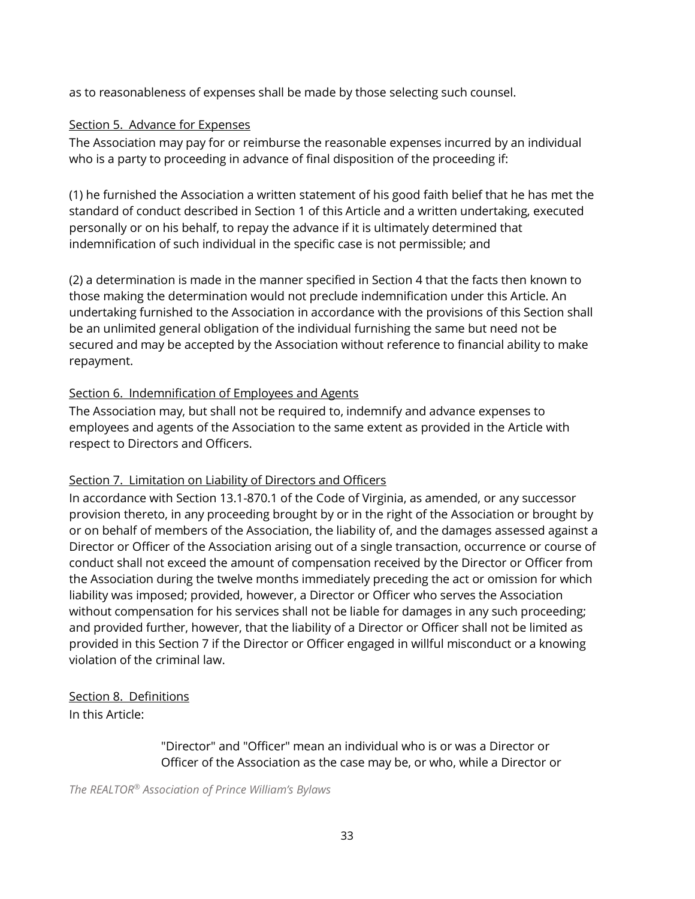as to reasonableness of expenses shall be made by those selecting such counsel.

## Section 5. Advance for Expenses

The Association may pay for or reimburse the reasonable expenses incurred by an individual who is a party to proceeding in advance of final disposition of the proceeding if:

(1) he furnished the Association a written statement of his good faith belief that he has met the standard of conduct described in Section 1 of this Article and a written undertaking, executed personally or on his behalf, to repay the advance if it is ultimately determined that indemnification of such individual in the specific case is not permissible; and

(2) a determination is made in the manner specified in Section 4 that the facts then known to those making the determination would not preclude indemnification under this Article. An undertaking furnished to the Association in accordance with the provisions of this Section shall be an unlimited general obligation of the individual furnishing the same but need not be secured and may be accepted by the Association without reference to financial ability to make repayment.

# Section 6. Indemnification of Employees and Agents

The Association may, but shall not be required to, indemnify and advance expenses to employees and agents of the Association to the same extent as provided in the Article with respect to Directors and Officers.

# Section 7. Limitation on Liability of Directors and Officers

In accordance with Section 13.1-870.1 of the Code of Virginia, as amended, or any successor provision thereto, in any proceeding brought by or in the right of the Association or brought by or on behalf of members of the Association, the liability of, and the damages assessed against a Director or Officer of the Association arising out of a single transaction, occurrence or course of conduct shall not exceed the amount of compensation received by the Director or Officer from the Association during the twelve months immediately preceding the act or omission for which liability was imposed; provided, however, a Director or Officer who serves the Association without compensation for his services shall not be liable for damages in any such proceeding; and provided further, however, that the liability of a Director or Officer shall not be limited as provided in this Section 7 if the Director or Officer engaged in willful misconduct or a knowing violation of the criminal law.

# Section 8. Definitions

In this Article:

"Director" and "Officer" mean an individual who is or was a Director or Officer of the Association as the case may be, or who, while a Director or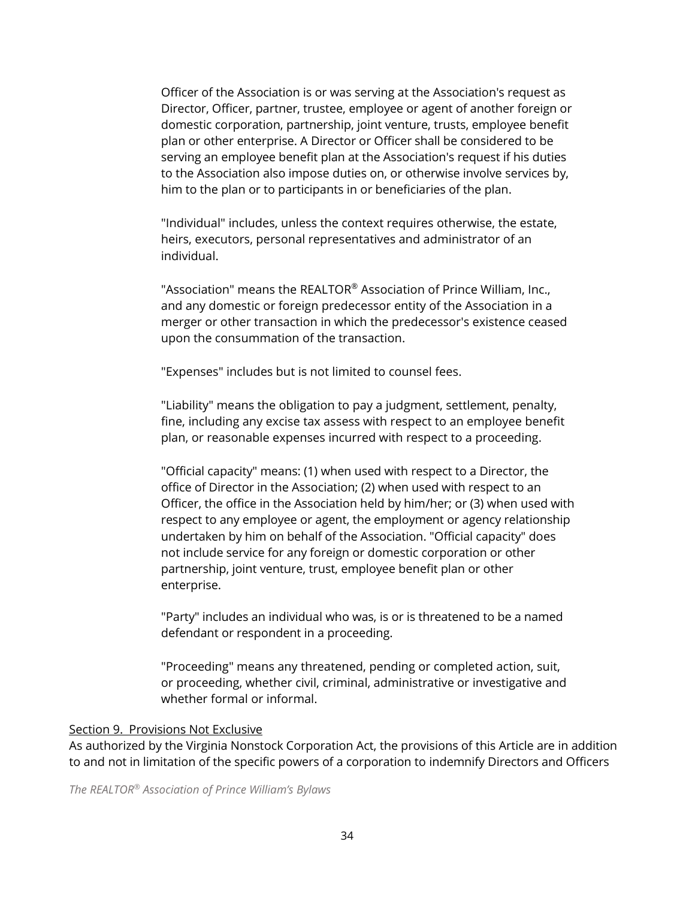Officer of the Association is or was serving at the Association's request as Director, Officer, partner, trustee, employee or agent of another foreign or domestic corporation, partnership, joint venture, trusts, employee benefit plan or other enterprise. A Director or Officer shall be considered to be serving an employee benefit plan at the Association's request if his duties to the Association also impose duties on, or otherwise involve services by, him to the plan or to participants in or beneficiaries of the plan.

"Individual" includes, unless the context requires otherwise, the estate, heirs, executors, personal representatives and administrator of an individual.

"Association" means the REALTOR® Association of Prince William, Inc., and any domestic or foreign predecessor entity of the Association in a merger or other transaction in which the predecessor's existence ceased upon the consummation of the transaction.

"Expenses" includes but is not limited to counsel fees.

"Liability" means the obligation to pay a judgment, settlement, penalty, fine, including any excise tax assess with respect to an employee benefit plan, or reasonable expenses incurred with respect to a proceeding.

"Official capacity" means: (1) when used with respect to a Director, the office of Director in the Association; (2) when used with respect to an Officer, the office in the Association held by him/her; or (3) when used with respect to any employee or agent, the employment or agency relationship undertaken by him on behalf of the Association. "Official capacity" does not include service for any foreign or domestic corporation or other partnership, joint venture, trust, employee benefit plan or other enterprise.

"Party" includes an individual who was, is or is threatened to be a named defendant or respondent in a proceeding.

"Proceeding" means any threatened, pending or completed action, suit, or proceeding, whether civil, criminal, administrative or investigative and whether formal or informal.

#### Section 9. Provisions Not Exclusive

As authorized by the Virginia Nonstock Corporation Act, the provisions of this Article are in addition to and not in limitation of the specific powers of a corporation to indemnify Directors and Officers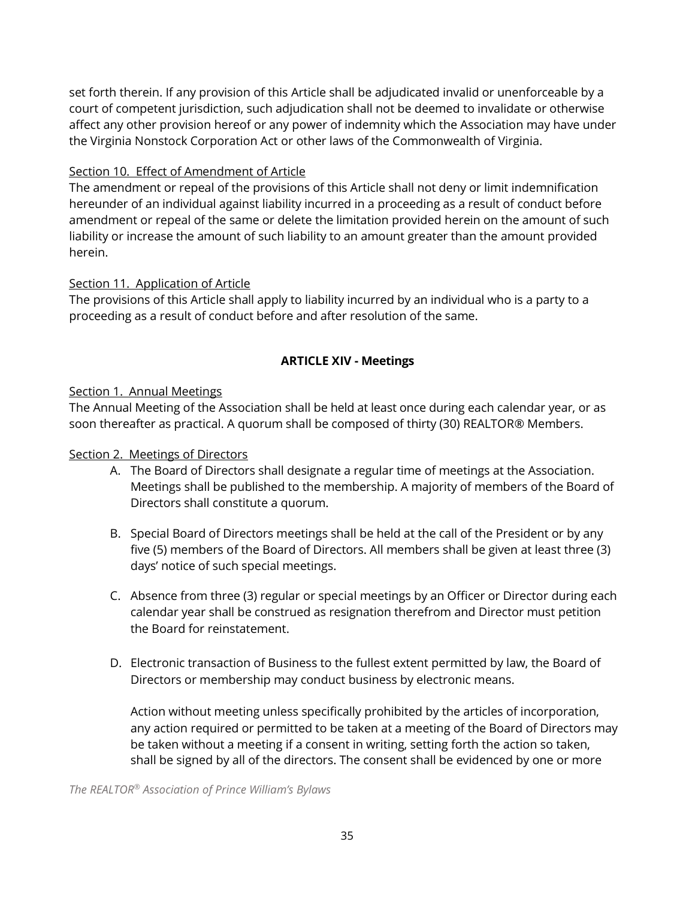set forth therein. If any provision of this Article shall be adjudicated invalid or unenforceable by a court of competent jurisdiction, such adjudication shall not be deemed to invalidate or otherwise affect any other provision hereof or any power of indemnity which the Association may have under the Virginia Nonstock Corporation Act or other laws of the Commonwealth of Virginia.

## Section 10. Effect of Amendment of Article

The amendment or repeal of the provisions of this Article shall not deny or limit indemnification hereunder of an individual against liability incurred in a proceeding as a result of conduct before amendment or repeal of the same or delete the limitation provided herein on the amount of such liability or increase the amount of such liability to an amount greater than the amount provided herein.

#### Section 11. Application of Article

The provisions of this Article shall apply to liability incurred by an individual who is a party to a proceeding as a result of conduct before and after resolution of the same.

## **ARTICLE XIV - Meetings**

## Section 1. Annual Meetings

The Annual Meeting of the Association shall be held at least once during each calendar year, or as soon thereafter as practical. A quorum shall be composed of thirty (30) REALTOR® Members.

#### Section 2. Meetings of Directors

- A. The Board of Directors shall designate a regular time of meetings at the Association. Meetings shall be published to the membership. A majority of members of the Board of Directors shall constitute a quorum.
- B. Special Board of Directors meetings shall be held at the call of the President or by any five (5) members of the Board of Directors. All members shall be given at least three (3) days' notice of such special meetings.
- C. Absence from three (3) regular or special meetings by an Officer or Director during each calendar year shall be construed as resignation therefrom and Director must petition the Board for reinstatement.
- D. Electronic transaction of Business to the fullest extent permitted by law, the Board of Directors or membership may conduct business by electronic means.

Action without meeting unless specifically prohibited by the articles of incorporation, any action required or permitted to be taken at a meeting of the Board of Directors may be taken without a meeting if a consent in writing, setting forth the action so taken, shall be signed by all of the directors. The consent shall be evidenced by one or more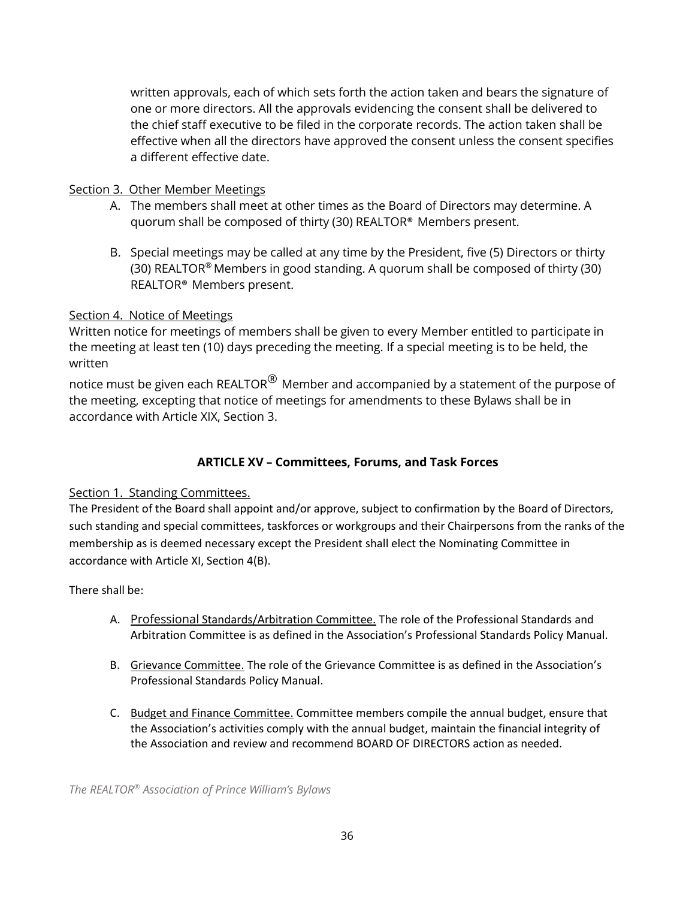written approvals, each of which sets forth the action taken and bears the signature of one or more directors. All the approvals evidencing the consent shall be delivered to the chief staff executive to be filed in the corporate records. The action taken shall be effective when all the directors have approved the consent unless the consent specifies a different effective date.

#### Section 3. Other Member Meetings

- A. The members shall meet at other times as the Board of Directors may determine. A quorum shall be composed of thirty (30) REALTOR® Members present.
- B. Special meetings may be called at any time by the President, five (5) Directors or thirty (30) REALTOR® Members in good standing. A quorum shall be composed of thirty (30) REALTOR® Members present.

## Section 4. Notice of Meetings

Written notice for meetings of members shall be given to every Member entitled to participate in the meeting at least ten (10) days preceding the meeting. If a special meeting is to be held, the written

notice must be given each REALTOR $^\circledR$  Member and accompanied by a statement of the purpose of the meeting, excepting that notice of meetings for amendments to these Bylaws shall be in accordance with Article XIX, Section 3.

# **ARTICLE XV – Committees, Forums, and Task Forces**

## Section 1. Standing Committees.

The President of the Board shall appoint and/or approve, subject to confirmation by the Board of Directors, such standing and special committees, taskforces or workgroups and their Chairpersons from the ranks of the membership as is deemed necessary except the President shall elect the Nominating Committee in accordance with Article XI, Section 4(B).

#### There shall be:

- A. Professional Standards/Arbitration Committee. The role of the Professional Standards and Arbitration Committee is as defined in the Association's Professional Standards Policy Manual.
- B. Grievance Committee. The role of the Grievance Committee is as defined in the Association's Professional Standards Policy Manual.
- C. Budget and Finance Committee. Committee members compile the annual budget, ensure that the Association's activities comply with the annual budget, maintain the financial integrity of the Association and review and recommend BOARD OF DIRECTORS action as needed.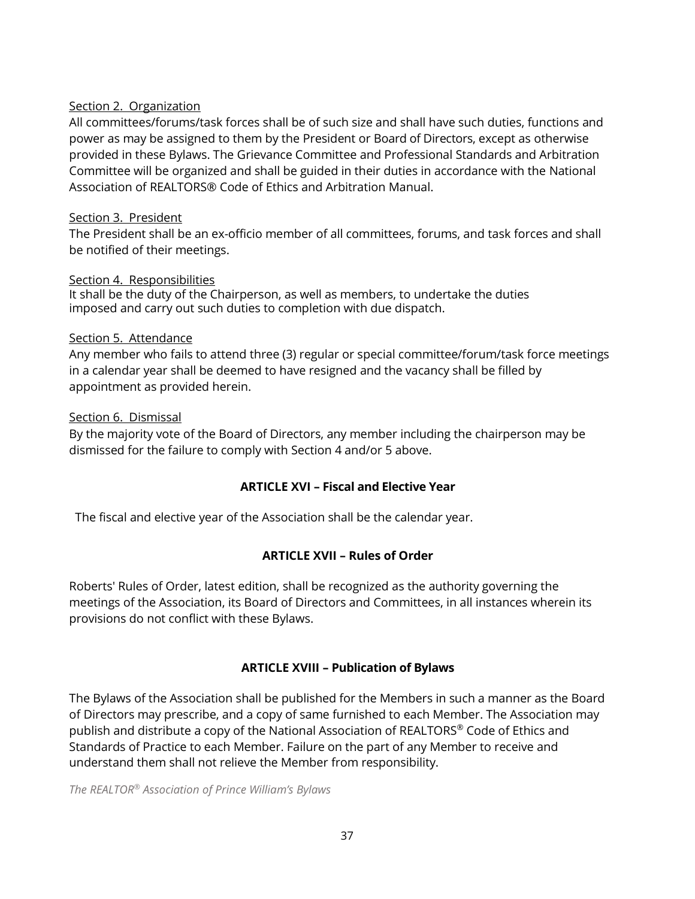#### Section 2. Organization

All committees/forums/task forces shall be of such size and shall have such duties, functions and power as may be assigned to them by the President or Board of Directors, except as otherwise provided in these Bylaws. The Grievance Committee and Professional Standards and Arbitration Committee will be organized and shall be guided in their duties in accordance with the National Association of REALTORS® Code of Ethics and Arbitration Manual.

#### Section 3. President

The President shall be an ex-officio member of all committees, forums, and task forces and shall be notified of their meetings.

#### Section 4. Responsibilities

It shall be the duty of the Chairperson, as well as members, to undertake the duties imposed and carry out such duties to completion with due dispatch.

#### Section 5. Attendance

Any member who fails to attend three (3) regular or special committee/forum/task force meetings in a calendar year shall be deemed to have resigned and the vacancy shall be filled by appointment as provided herein.

#### Section 6. Dismissal

By the majority vote of the Board of Directors, any member including the chairperson may be dismissed for the failure to comply with Section 4 and/or 5 above.

## **ARTICLE XVI – Fiscal and Elective Year**

The fiscal and elective year of the Association shall be the calendar year.

## **ARTICLE XVII – Rules of Order**

Roberts' Rules of Order, latest edition, shall be recognized as the authority governing the meetings of the Association, its Board of Directors and Committees, in all instances wherein its provisions do not conflict with these Bylaws.

## **ARTICLE XVIII – Publication of Bylaws**

The Bylaws of the Association shall be published for the Members in such a manner as the Board of Directors may prescribe, and a copy of same furnished to each Member. The Association may publish and distribute a copy of the National Association of REALTORS ® Code of Ethics and Standards of Practice to each Member. Failure on the part of any Member to receive and understand them shall not relieve the Member from responsibility.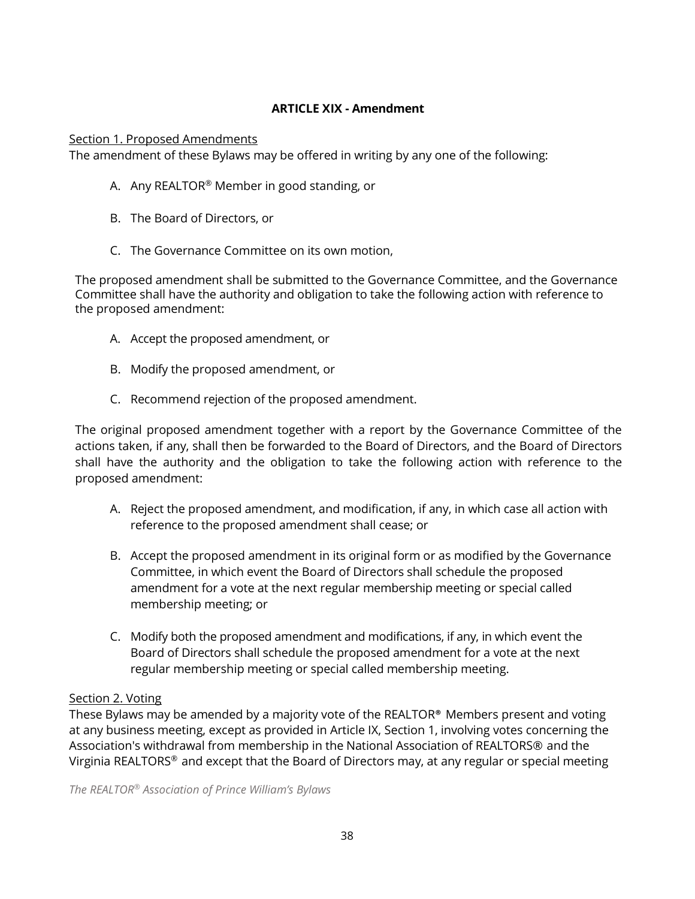## **ARTICLE XIX - Amendment**

#### Section 1. Proposed Amendments

The amendment of these Bylaws may be offered in writing by any one of the following:

- A. Any REALTOR<sup>®</sup> Member in good standing, or
- B. The Board of Directors, or
- C. The Governance Committee on its own motion,

The proposed amendment shall be submitted to the Governance Committee, and the Governance Committee shall have the authority and obligation to take the following action with reference to the proposed amendment:

- A. Accept the proposed amendment, or
- B. Modify the proposed amendment, or
- C. Recommend rejection of the proposed amendment.

The original proposed amendment together with a report by the Governance Committee of the actions taken, if any, shall then be forwarded to the Board of Directors, and the Board of Directors shall have the authority and the obligation to take the following action with reference to the proposed amendment:

- A. Reject the proposed amendment, and modification, if any, in which case all action with reference to the proposed amendment shall cease; or
- B. Accept the proposed amendment in its original form or as modified by the Governance Committee, in which event the Board of Directors shall schedule the proposed amendment for a vote at the next regular membership meeting or special called membership meeting; or
- C. Modify both the proposed amendment and modifications, if any, in which event the Board of Directors shall schedule the proposed amendment for a vote at the next regular membership meeting or special called membership meeting.

## Section 2. Voting

These Bylaws may be amended by a majority vote of the REALTOR® Members present and voting at any business meeting, except as provided in Article IX, Section 1, involving votes concerning the Association's withdrawal from membership in the National Association of REALTORS® and the Virginia REALTORS® and except that the Board of Directors may, at any regular or special meeting